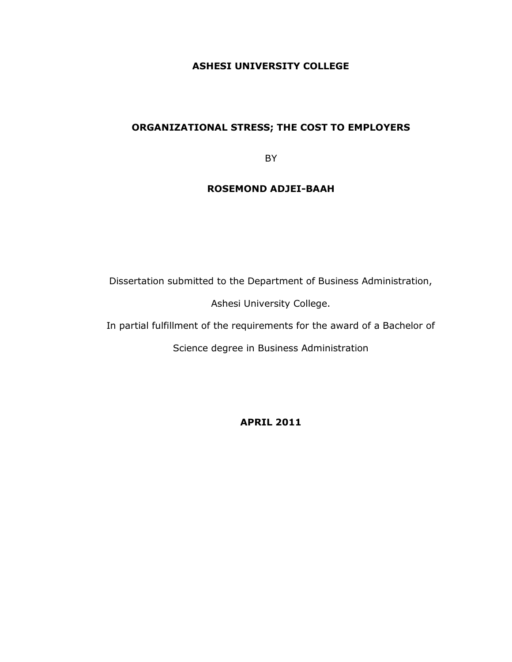## **ASHESI UNIVERSITY COLLEGE**

## **ORGANIZATIONAL STRESS; THE COST TO EMPLOYERS**

BY

## **ROSEMOND ADJEI-BAAH**

Dissertation submitted to the Department of Business Administration,

Ashesi University College.

In partial fulfillment of the requirements for the award of a Bachelor of

Science degree in Business Administration

**APRIL 2011**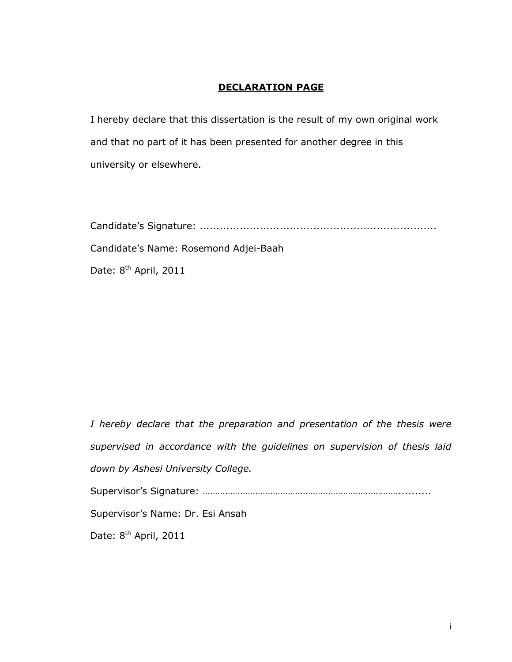## **DECLARATION PAGE**

I hereby declare that this dissertation is the result of my own original work and that no part of it has been presented for another degree in this university or elsewhere.

Candidate"s Signature: .......................................................................

Candidate"s Name: Rosemond Adjei-Baah

Date: 8<sup>th</sup> April, 2011

*I hereby declare that the preparation and presentation of the thesis were supervised in accordance with the guidelines on supervision of thesis laid down by Ashesi University College.*  Supervisor"s Signature: ……………………………………………………………………..........

Supervisor"s Name: Dr. Esi Ansah

Date: 8<sup>th</sup> April, 2011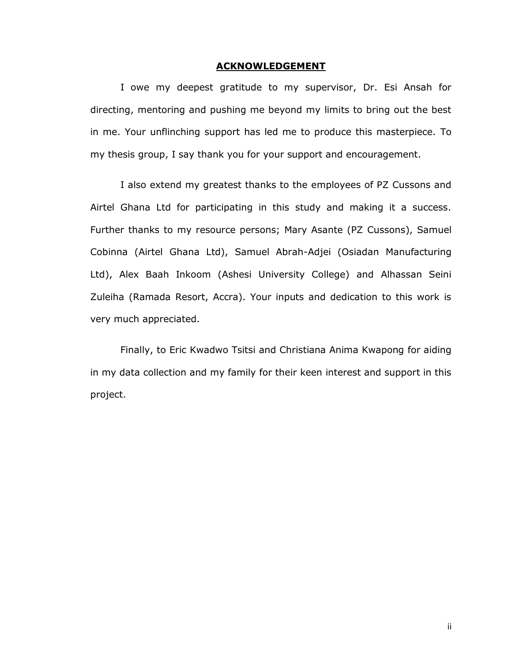#### **ACKNOWLEDGEMENT**

I owe my deepest gratitude to my supervisor, Dr. Esi Ansah for directing, mentoring and pushing me beyond my limits to bring out the best in me. Your unflinching support has led me to produce this masterpiece. To my thesis group, I say thank you for your support and encouragement.

I also extend my greatest thanks to the employees of PZ Cussons and Airtel Ghana Ltd for participating in this study and making it a success. Further thanks to my resource persons; Mary Asante (PZ Cussons), Samuel Cobinna (Airtel Ghana Ltd), Samuel Abrah-Adjei (Osiadan Manufacturing Ltd), Alex Baah Inkoom (Ashesi University College) and Alhassan Seini Zuleiha (Ramada Resort, Accra). Your inputs and dedication to this work is very much appreciated.

Finally, to Eric Kwadwo Tsitsi and Christiana Anima Kwapong for aiding in my data collection and my family for their keen interest and support in this project.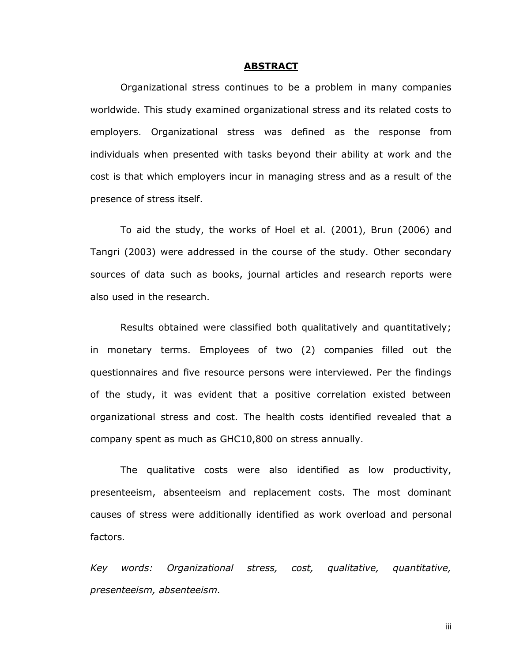#### **ABSTRACT**

Organizational stress continues to be a problem in many companies worldwide. This study examined organizational stress and its related costs to employers. Organizational stress was defined as the response from individuals when presented with tasks beyond their ability at work and the cost is that which employers incur in managing stress and as a result of the presence of stress itself.

To aid the study, the works of Hoel et al. (2001), Brun (2006) and Tangri (2003) were addressed in the course of the study. Other secondary sources of data such as books, journal articles and research reports were also used in the research.

Results obtained were classified both qualitatively and quantitatively; in monetary terms. Employees of two (2) companies filled out the questionnaires and five resource persons were interviewed. Per the findings of the study, it was evident that a positive correlation existed between organizational stress and cost. The health costs identified revealed that a company spent as much as GHC10,800 on stress annually.

The qualitative costs were also identified as low productivity, presenteeism, absenteeism and replacement costs. The most dominant causes of stress were additionally identified as work overload and personal factors.

*Key words: Organizational stress, cost, qualitative, quantitative, presenteeism, absenteeism.* 

iii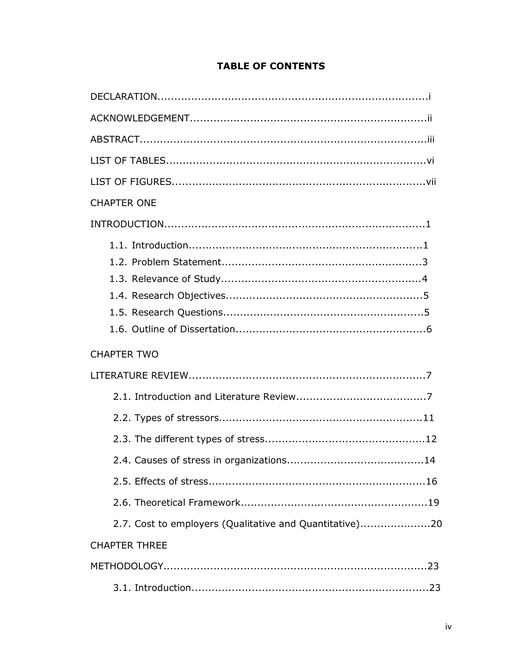| <b>CHAPTER ONE</b>                                      |
|---------------------------------------------------------|
|                                                         |
|                                                         |
| <b>CHAPTER TWO</b>                                      |
|                                                         |
|                                                         |
|                                                         |
|                                                         |
|                                                         |
|                                                         |
|                                                         |
| 2.7. Cost to employers (Qualitative and Quantitative)20 |
| <b>CHAPTER THREE</b>                                    |
|                                                         |
|                                                         |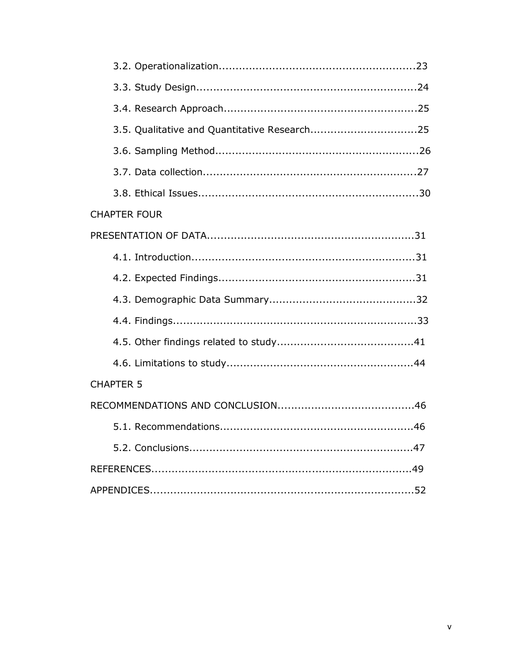| <b>CHAPTER FOUR</b> |  |
|---------------------|--|
|                     |  |
|                     |  |
|                     |  |
|                     |  |
|                     |  |
|                     |  |
|                     |  |
| <b>CHAPTER 5</b>    |  |
|                     |  |
|                     |  |
|                     |  |
|                     |  |
|                     |  |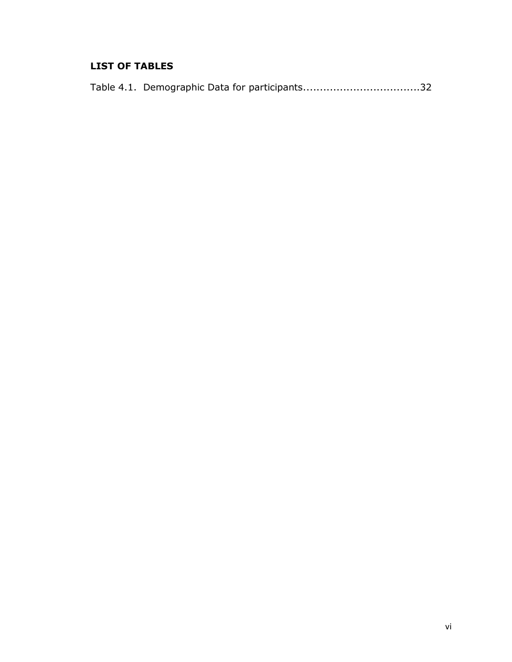# **LIST OF TABLES**

|  |  |  | Table 4.1. Demographic Data for participants32 |
|--|--|--|------------------------------------------------|
|--|--|--|------------------------------------------------|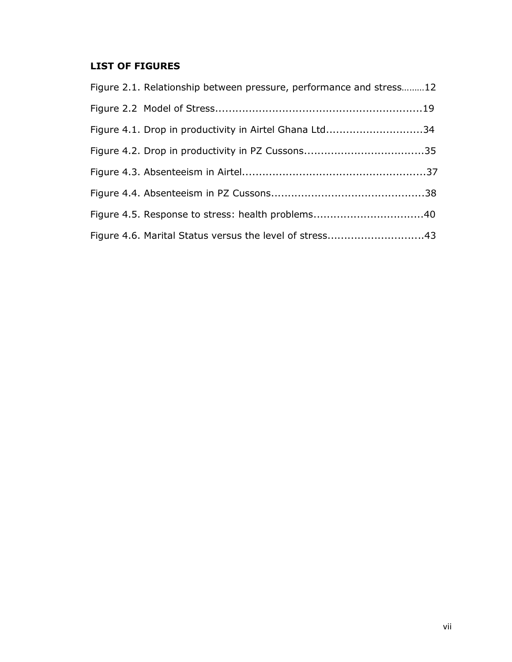# **LIST OF FIGURES**

| Figure 2.1. Relationship between pressure, performance and stress12 |  |
|---------------------------------------------------------------------|--|
|                                                                     |  |
| Figure 4.1. Drop in productivity in Airtel Ghana Ltd34              |  |
|                                                                     |  |
|                                                                     |  |
|                                                                     |  |
|                                                                     |  |
| Figure 4.6. Marital Status versus the level of stress43             |  |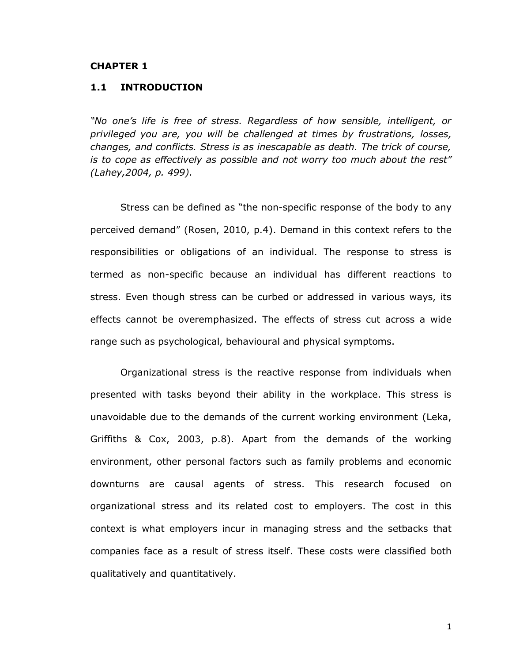#### **CHAPTER 1**

### **1.1 INTRODUCTION**

*"No one's life is free of stress. Regardless of how sensible, intelligent, or privileged you are, you will be challenged at times by frustrations, losses, changes, and conflicts. Stress is as inescapable as death. The trick of course, is to cope as effectively as possible and not worry too much about the rest" (Lahey,2004, p. 499).*

Stress can be defined as "the non-specific response of the body to any perceived demand" (Rosen, 2010, p.4). Demand in this context refers to the responsibilities or obligations of an individual. The response to stress is termed as non-specific because an individual has different reactions to stress. Even though stress can be curbed or addressed in various ways, its effects cannot be overemphasized. The effects of stress cut across a wide range such as psychological, behavioural and physical symptoms.

Organizational stress is the reactive response from individuals when presented with tasks beyond their ability in the workplace. This stress is unavoidable due to the demands of the current working environment (Leka, Griffiths & Cox, 2003, p.8). Apart from the demands of the working environment, other personal factors such as family problems and economic downturns are causal agents of stress. This research focused on organizational stress and its related cost to employers. The cost in this context is what employers incur in managing stress and the setbacks that companies face as a result of stress itself. These costs were classified both qualitatively and quantitatively.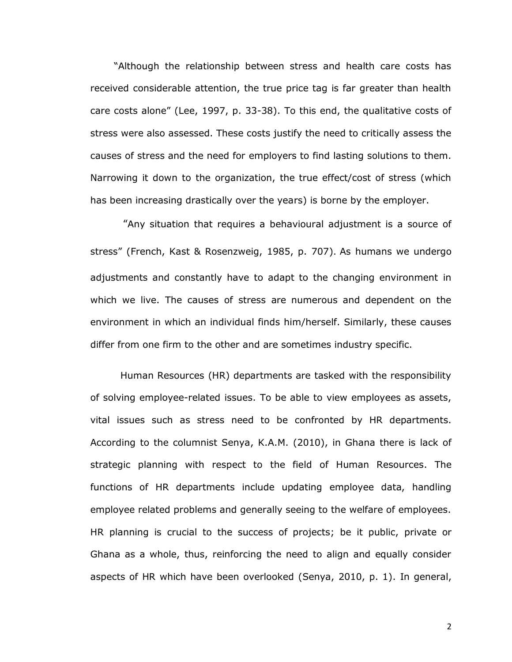"Although the relationship between stress and health care costs has received considerable attention, the true price tag is far greater than health care costs alone" (Lee, 1997, p. 33-38). To this end, the qualitative costs of stress were also assessed. These costs justify the need to critically assess the causes of stress and the need for employers to find lasting solutions to them. Narrowing it down to the organization, the true effect/cost of stress (which has been increasing drastically over the years) is borne by the employer.

"Any situation that requires a behavioural adjustment is a source of stress" (French, Kast & Rosenzweig, 1985, p. 707). As humans we undergo adjustments and constantly have to adapt to the changing environment in which we live. The causes of stress are numerous and dependent on the environment in which an individual finds him/herself. Similarly, these causes differ from one firm to the other and are sometimes industry specific.

Human Resources (HR) departments are tasked with the responsibility of solving employee-related issues. To be able to view employees as assets, vital issues such as stress need to be confronted by HR departments. According to the columnist Senya, K.A.M. (2010), in Ghana there is lack of strategic planning with respect to the field of Human Resources. The functions of HR departments include updating employee data, handling employee related problems and generally seeing to the welfare of employees. HR planning is crucial to the success of projects; be it public, private or Ghana as a whole, thus, reinforcing the need to align and equally consider aspects of HR which have been overlooked (Senya, 2010, p. 1). In general,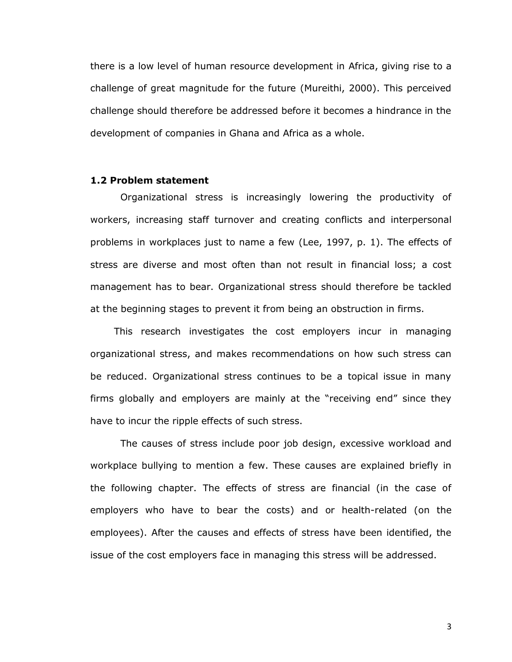there is a low level of human resource development in Africa, giving rise to a challenge of great magnitude for the future (Mureithi, 2000). This perceived challenge should therefore be addressed before it becomes a hindrance in the development of companies in Ghana and Africa as a whole.

## **1.2 Problem statement**

Organizational stress is increasingly lowering the productivity of workers, increasing staff turnover and creating conflicts and interpersonal problems in workplaces just to name a few (Lee, 1997, p. 1). The effects of stress are diverse and most often than not result in financial loss; a cost management has to bear. Organizational stress should therefore be tackled at the beginning stages to prevent it from being an obstruction in firms.

This research investigates the cost employers incur in managing organizational stress, and makes recommendations on how such stress can be reduced. Organizational stress continues to be a topical issue in many firms globally and employers are mainly at the "receiving end" since they have to incur the ripple effects of such stress.

The causes of stress include poor job design, excessive workload and workplace bullying to mention a few. These causes are explained briefly in the following chapter. The effects of stress are financial (in the case of employers who have to bear the costs) and or health-related (on the employees). After the causes and effects of stress have been identified, the issue of the cost employers face in managing this stress will be addressed.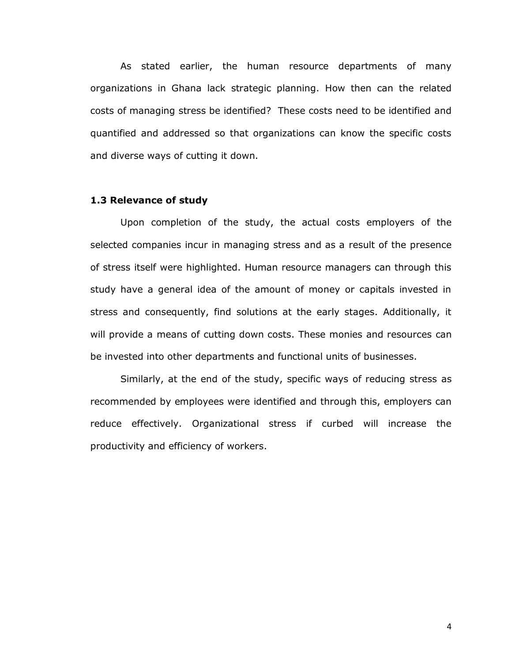As stated earlier, the human resource departments of many organizations in Ghana lack strategic planning. How then can the related costs of managing stress be identified? These costs need to be identified and quantified and addressed so that organizations can know the specific costs and diverse ways of cutting it down.

## **1.3 Relevance of study**

Upon completion of the study, the actual costs employers of the selected companies incur in managing stress and as a result of the presence of stress itself were highlighted. Human resource managers can through this study have a general idea of the amount of money or capitals invested in stress and consequently, find solutions at the early stages. Additionally, it will provide a means of cutting down costs. These monies and resources can be invested into other departments and functional units of businesses.

Similarly, at the end of the study, specific ways of reducing stress as recommended by employees were identified and through this, employers can reduce effectively. Organizational stress if curbed will increase the productivity and efficiency of workers.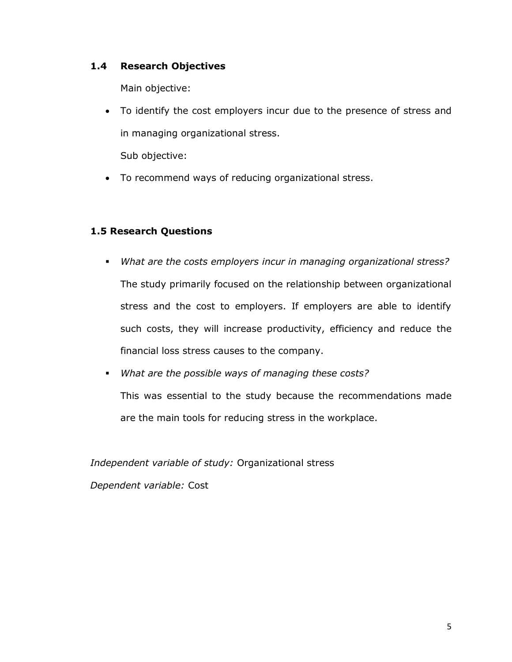## **1.4 Research Objectives**

Main objective:

 To identify the cost employers incur due to the presence of stress and in managing organizational stress.

Sub objective:

To recommend ways of reducing organizational stress.

## **1.5 Research Questions**

- *What are the costs employers incur in managing organizational stress?* The study primarily focused on the relationship between organizational stress and the cost to employers. If employers are able to identify such costs, they will increase productivity, efficiency and reduce the financial loss stress causes to the company.
- *What are the possible ways of managing these costs?*  This was essential to the study because the recommendations made are the main tools for reducing stress in the workplace.

*Independent variable of study:* Organizational stress

*Dependent variable:* Cost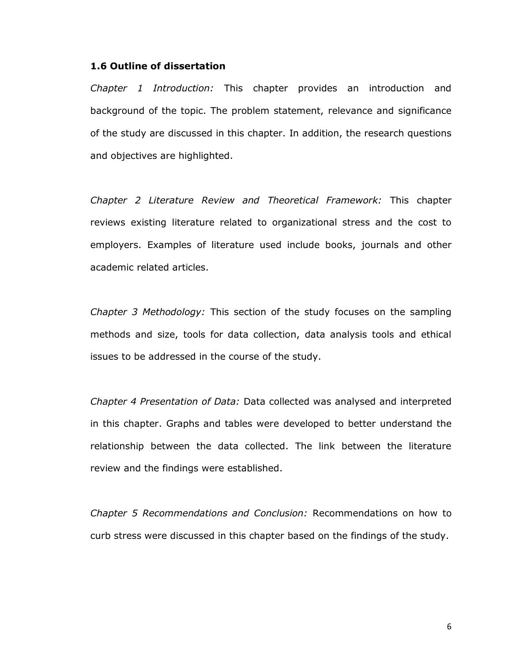### **1.6 Outline of dissertation**

*Chapter 1 Introduction:* This chapter provides an introduction and background of the topic. The problem statement, relevance and significance of the study are discussed in this chapter. In addition, the research questions and objectives are highlighted.

*Chapter 2 Literature Review and Theoretical Framework:* This chapter reviews existing literature related to organizational stress and the cost to employers. Examples of literature used include books, journals and other academic related articles.

*Chapter 3 Methodology:* This section of the study focuses on the sampling methods and size, tools for data collection, data analysis tools and ethical issues to be addressed in the course of the study.

*Chapter 4 Presentation of Data:* Data collected was analysed and interpreted in this chapter. Graphs and tables were developed to better understand the relationship between the data collected. The link between the literature review and the findings were established.

*Chapter 5 Recommendations and Conclusion:* Recommendations on how to curb stress were discussed in this chapter based on the findings of the study.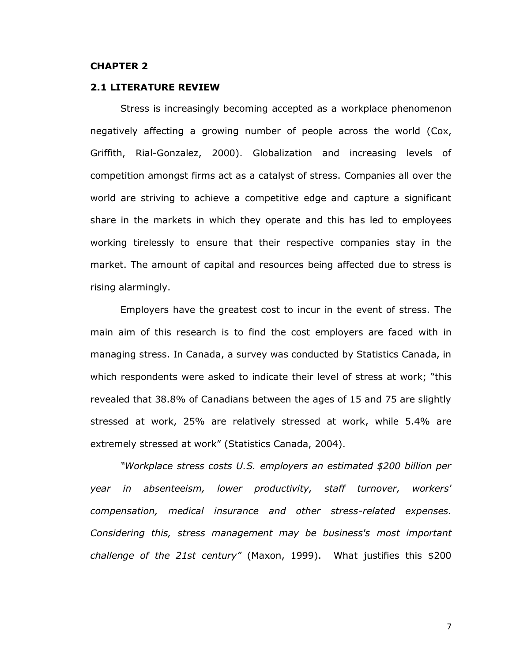### **CHAPTER 2**

### **2.1 LITERATURE REVIEW**

Stress is increasingly becoming accepted as a workplace phenomenon negatively affecting a growing number of people across the world (Cox, Griffith, Rial-Gonzalez, 2000). Globalization and increasing levels of competition amongst firms act as a catalyst of stress. Companies all over the world are striving to achieve a competitive edge and capture a significant share in the markets in which they operate and this has led to employees working tirelessly to ensure that their respective companies stay in the market. The amount of capital and resources being affected due to stress is rising alarmingly.

Employers have the greatest cost to incur in the event of stress. The main aim of this research is to find the cost employers are faced with in managing stress. In Canada, a survey was conducted by Statistics Canada, in which respondents were asked to indicate their level of stress at work; "this revealed that 38.8% of Canadians between the ages of 15 and 75 are slightly stressed at work, 25% are relatively stressed at work, while 5.4% are extremely stressed at work" (Statistics Canada, 2004).

*"Workplace stress costs U.S. employers an estimated \$200 billion per year in absenteeism, lower productivity, staff turnover, workers' compensation, medical insurance and other stress-related expenses. Considering this, stress management may be business's most important challenge of the 21st century"* (Maxon, 1999). What justifies this \$200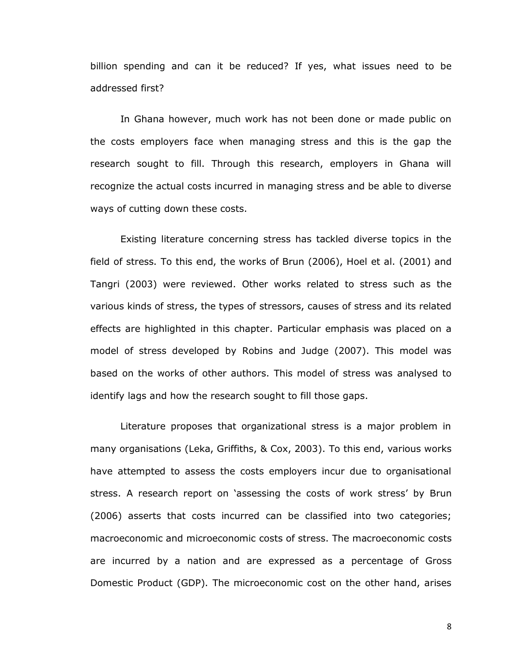billion spending and can it be reduced? If yes, what issues need to be addressed first?

In Ghana however, much work has not been done or made public on the costs employers face when managing stress and this is the gap the research sought to fill. Through this research, employers in Ghana will recognize the actual costs incurred in managing stress and be able to diverse ways of cutting down these costs.

Existing literature concerning stress has tackled diverse topics in the field of stress. To this end, the works of Brun (2006), Hoel et al. (2001) and Tangri (2003) were reviewed. Other works related to stress such as the various kinds of stress, the types of stressors, causes of stress and its related effects are highlighted in this chapter. Particular emphasis was placed on a model of stress developed by Robins and Judge (2007). This model was based on the works of other authors. This model of stress was analysed to identify lags and how the research sought to fill those gaps.

Literature proposes that organizational stress is a major problem in many organisations (Leka, Griffiths, & Cox, 2003). To this end, various works have attempted to assess the costs employers incur due to organisational stress. A research report on 'assessing the costs of work stress' by Brun (2006) asserts that costs incurred can be classified into two categories; macroeconomic and microeconomic costs of stress. The macroeconomic costs are incurred by a nation and are expressed as a percentage of Gross Domestic Product (GDP). The microeconomic cost on the other hand, arises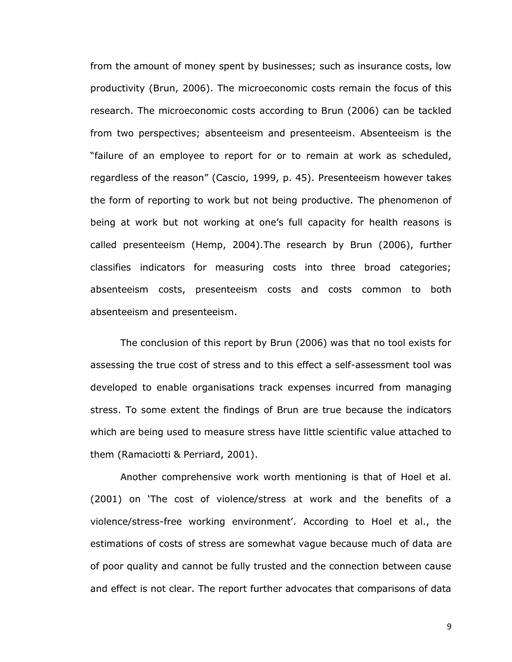from the amount of money spent by businesses; such as insurance costs, low productivity (Brun, 2006). The microeconomic costs remain the focus of this research. The microeconomic costs according to Brun (2006) can be tackled from two perspectives; absenteeism and presenteeism. Absenteeism is the "failure of an employee to report for or to remain at work as scheduled, regardless of the reason" (Cascio, 1999, p. 45). Presenteeism however takes the form of reporting to work but not being productive. The phenomenon of being at work but not working at one"s full capacity for health reasons is called presenteeism (Hemp, 2004).The research by Brun (2006), further classifies indicators for measuring costs into three broad categories; absenteeism costs, presenteeism costs and costs common to both absenteeism and presenteeism.

The conclusion of this report by Brun (2006) was that no tool exists for assessing the true cost of stress and to this effect a self-assessment tool was developed to enable organisations track expenses incurred from managing stress. To some extent the findings of Brun are true because the indicators which are being used to measure stress have little scientific value attached to them (Ramaciotti & Perriard, 2001).

Another comprehensive work worth mentioning is that of Hoel et al. (2001) on "The cost of violence/stress at work and the benefits of a violence/stress-free working environment'. According to Hoel et al., the estimations of costs of stress are somewhat vague because much of data are of poor quality and cannot be fully trusted and the connection between cause and effect is not clear. The report further advocates that comparisons of data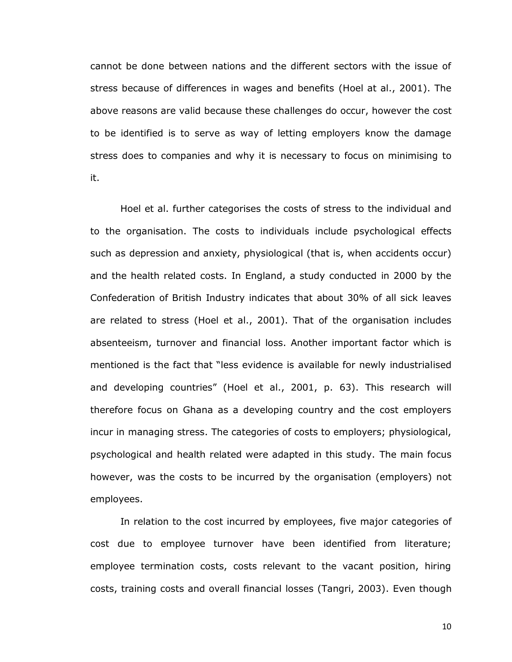cannot be done between nations and the different sectors with the issue of stress because of differences in wages and benefits (Hoel at al., 2001). The above reasons are valid because these challenges do occur, however the cost to be identified is to serve as way of letting employers know the damage stress does to companies and why it is necessary to focus on minimising to it.

Hoel et al. further categorises the costs of stress to the individual and to the organisation. The costs to individuals include psychological effects such as depression and anxiety, physiological (that is, when accidents occur) and the health related costs. In England, a study conducted in 2000 by the Confederation of British Industry indicates that about 30% of all sick leaves are related to stress (Hoel et al., 2001). That of the organisation includes absenteeism, turnover and financial loss. Another important factor which is mentioned is the fact that "less evidence is available for newly industrialised and developing countries" (Hoel et al., 2001, p. 63). This research will therefore focus on Ghana as a developing country and the cost employers incur in managing stress. The categories of costs to employers; physiological, psychological and health related were adapted in this study. The main focus however, was the costs to be incurred by the organisation (employers) not employees.

In relation to the cost incurred by employees, five major categories of cost due to employee turnover have been identified from literature; employee termination costs, costs relevant to the vacant position, hiring costs, training costs and overall financial losses (Tangri, 2003). Even though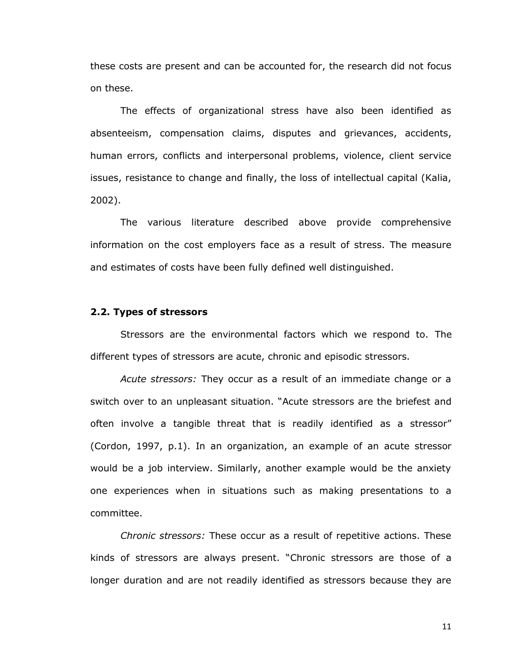these costs are present and can be accounted for, the research did not focus on these.

The effects of organizational stress have also been identified as absenteeism, compensation claims, disputes and grievances, accidents, human errors, conflicts and interpersonal problems, violence, client service issues, resistance to change and finally, the loss of intellectual capital (Kalia, 2002).

The various literature described above provide comprehensive information on the cost employers face as a result of stress. The measure and estimates of costs have been fully defined well distinguished.

#### **2.2. Types of stressors**

Stressors are the environmental factors which we respond to. The different types of stressors are acute, chronic and episodic stressors.

*Acute stressors:* They occur as a result of an immediate change or a switch over to an unpleasant situation. "Acute stressors are the briefest and often involve a tangible threat that is readily identified as a stressor" (Cordon, 1997, p.1). In an organization, an example of an acute stressor would be a job interview. Similarly, another example would be the anxiety one experiences when in situations such as making presentations to a committee.

*Chronic stressors:* These occur as a result of repetitive actions. These kinds of stressors are always present. "Chronic stressors are those of a longer duration and are not readily identified as stressors because they are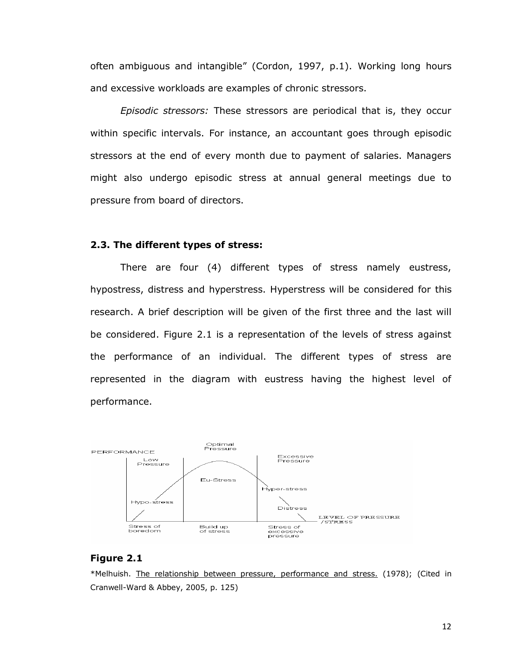often ambiguous and intangible" (Cordon, 1997, p.1). Working long hours and excessive workloads are examples of chronic stressors.

*Episodic stressors:* These stressors are periodical that is, they occur within specific intervals. For instance, an accountant goes through episodic stressors at the end of every month due to payment of salaries. Managers might also undergo episodic stress at annual general meetings due to pressure from board of directors.

#### **2.3. The different types of stress:**

There are four (4) different types of stress namely eustress, hypostress, distress and hyperstress. Hyperstress will be considered for this research. A brief description will be given of the first three and the last will be considered. Figure 2.1 is a representation of the levels of stress against the performance of an individual. The different types of stress are represented in the diagram with eustress having the highest level of performance.



#### **Figure 2.1**

\*Melhuish. The relationship between pressure, performance and stress. (1978); (Cited in Cranwell-Ward & Abbey, 2005, p. 125)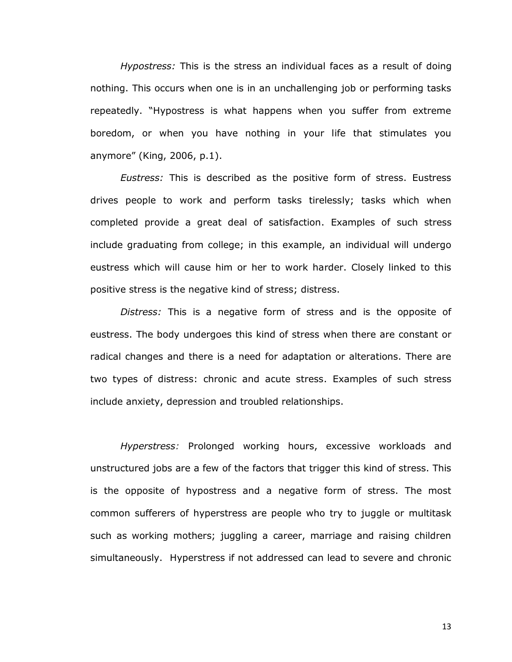*Hypostress:* This is the stress an individual faces as a result of doing nothing. This occurs when one is in an unchallenging job or performing tasks repeatedly. "Hypostress is what happens when you suffer from extreme boredom, or when you have nothing in your life that stimulates you anymore" (King, 2006, p.1).

*Eustress:* This is described as the positive form of stress. Eustress drives people to work and perform tasks tirelessly; tasks which when completed provide a great deal of satisfaction. Examples of such stress include graduating from college; in this example, an individual will undergo eustress which will cause him or her to work harder. Closely linked to this positive stress is the negative kind of stress; distress.

*Distress:* This is a negative form of stress and is the opposite of eustress. The body undergoes this kind of stress when there are constant or radical changes and there is a need for adaptation or alterations. There are two types of distress: chronic and acute stress. Examples of such stress include anxiety, depression and troubled relationships.

*Hyperstress:* Prolonged working hours, excessive workloads and unstructured jobs are a few of the factors that trigger this kind of stress. This is the opposite of hypostress and a negative form of stress. The most common sufferers of hyperstress are people who try to juggle or multitask such as working mothers; juggling a career, marriage and raising children simultaneously. Hyperstress if not addressed can lead to severe and chronic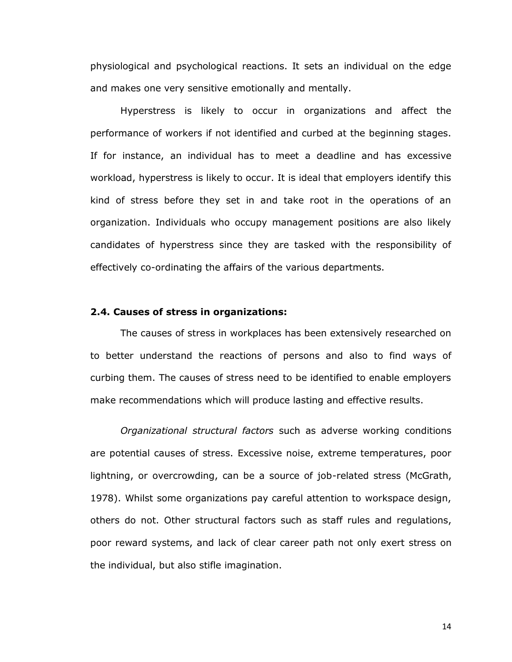physiological and psychological reactions. It sets an individual on the edge and makes one very sensitive emotionally and mentally.

Hyperstress is likely to occur in organizations and affect the performance of workers if not identified and curbed at the beginning stages. If for instance, an individual has to meet a deadline and has excessive workload, hyperstress is likely to occur. It is ideal that employers identify this kind of stress before they set in and take root in the operations of an organization. Individuals who occupy management positions are also likely candidates of hyperstress since they are tasked with the responsibility of effectively co-ordinating the affairs of the various departments.

#### **2.4. Causes of stress in organizations:**

The causes of stress in workplaces has been extensively researched on to better understand the reactions of persons and also to find ways of curbing them. The causes of stress need to be identified to enable employers make recommendations which will produce lasting and effective results.

*Organizational structural factors* such as adverse working conditions are potential causes of stress. Excessive noise, extreme temperatures, poor lightning, or overcrowding, can be a source of job-related stress (McGrath, 1978). Whilst some organizations pay careful attention to workspace design, others do not. Other structural factors such as staff rules and regulations, poor reward systems, and lack of clear career path not only exert stress on the individual, but also stifle imagination.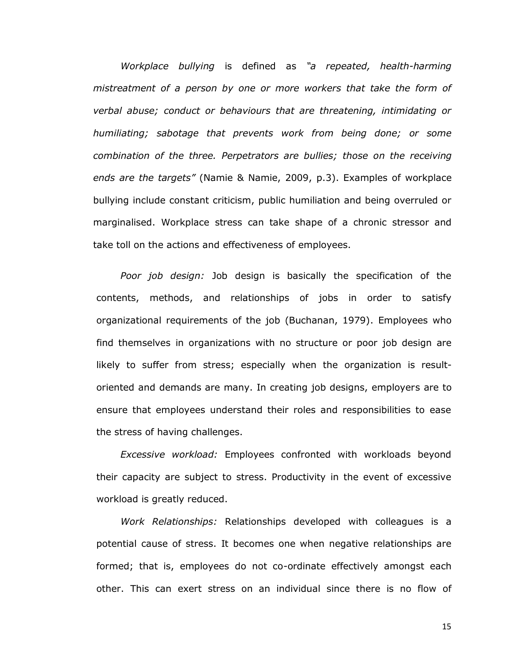*Workplace bullying* is defined as *"a repeated, health-harming mistreatment of a person by one or more workers that take the form of verbal abuse; conduct or behaviours that are threatening, intimidating or humiliating; sabotage that prevents work from being done; or some combination of the three. Perpetrators are bullies; those on the receiving ends are the targets"* (Namie & Namie, 2009, p.3). Examples of workplace bullying include constant criticism, public humiliation and being overruled or marginalised. Workplace stress can take shape of a chronic stressor and take toll on the actions and effectiveness of employees.

*Poor job design:* Job design is basically the specification of the contents, methods, and relationships of jobs in order to satisfy organizational requirements of the job (Buchanan, 1979). Employees who find themselves in organizations with no structure or poor job design are likely to suffer from stress; especially when the organization is resultoriented and demands are many. In creating job designs, employers are to ensure that employees understand their roles and responsibilities to ease the stress of having challenges.

*Excessive workload:* Employees confronted with workloads beyond their capacity are subject to stress. Productivity in the event of excessive workload is greatly reduced.

*Work Relationships:* Relationships developed with colleagues is a potential cause of stress. It becomes one when negative relationships are formed; that is, employees do not co-ordinate effectively amongst each other. This can exert stress on an individual since there is no flow of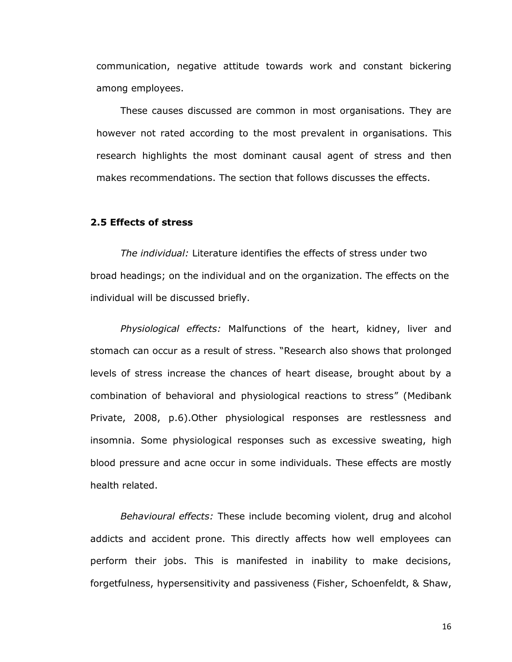communication, negative attitude towards work and constant bickering among employees.

These causes discussed are common in most organisations. They are however not rated according to the most prevalent in organisations. This research highlights the most dominant causal agent of stress and then makes recommendations. The section that follows discusses the effects.

## **2.5 Effects of stress**

*The individual:* Literature identifies the effects of stress under two broad headings; on the individual and on the organization. The effects on the individual will be discussed briefly.

*Physiological effects:* Malfunctions of the heart, kidney, liver and stomach can occur as a result of stress. "Research also shows that prolonged levels of stress increase the chances of heart disease, brought about by a combination of behavioral and physiological reactions to stress" (Medibank Private, 2008, p.6).Other physiological responses are restlessness and insomnia. Some physiological responses such as excessive sweating, high blood pressure and acne occur in some individuals. These effects are mostly health related.

*Behavioural effects:* These include becoming violent, drug and alcohol addicts and accident prone. This directly affects how well employees can perform their jobs. This is manifested in inability to make decisions, forgetfulness, hypersensitivity and passiveness (Fisher, Schoenfeldt, & Shaw,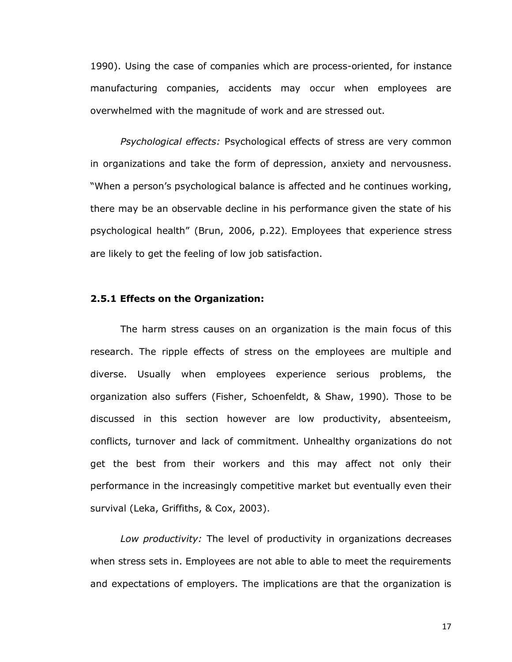1990). Using the case of companies which are process-oriented, for instance manufacturing companies, accidents may occur when employees are overwhelmed with the magnitude of work and are stressed out.

*Psychological effects:* Psychological effects of stress are very common in organizations and take the form of depression, anxiety and nervousness. "When a person's psychological balance is affected and he continues working, there may be an observable decline in his performance given the state of his psychological health" (Brun, 2006, p.22). Employees that experience stress are likely to get the feeling of low job satisfaction.

## **2.5.1 Effects on the Organization:**

The harm stress causes on an organization is the main focus of this research. The ripple effects of stress on the employees are multiple and diverse. Usually when employees experience serious problems, the organization also suffers (Fisher, Schoenfeldt, & Shaw, 1990)*.* Those to be discussed in this section however are low productivity, absenteeism, conflicts, turnover and lack of commitment. Unhealthy organizations do not get the best from their workers and this may affect not only their performance in the increasingly competitive market but eventually even their survival (Leka, Griffiths, & Cox, 2003).

*Low productivity:* The level of productivity in organizations decreases when stress sets in. Employees are not able to able to meet the requirements and expectations of employers. The implications are that the organization is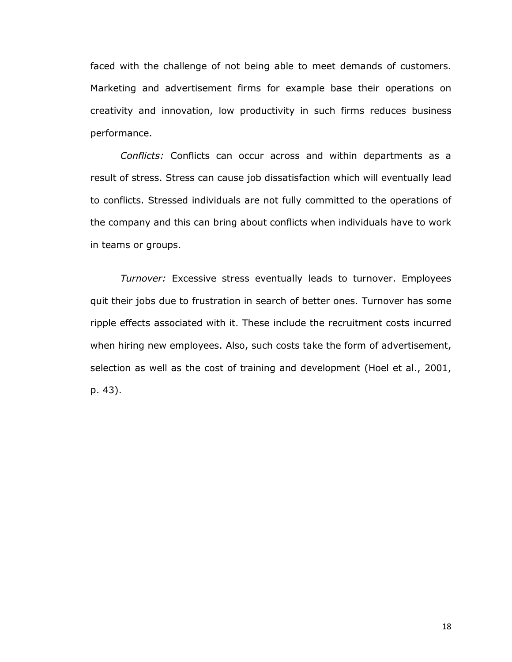faced with the challenge of not being able to meet demands of customers. Marketing and advertisement firms for example base their operations on creativity and innovation, low productivity in such firms reduces business performance.

*Conflicts:* Conflicts can occur across and within departments as a result of stress. Stress can cause job dissatisfaction which will eventually lead to conflicts. Stressed individuals are not fully committed to the operations of the company and this can bring about conflicts when individuals have to work in teams or groups.

*Turnover:* Excessive stress eventually leads to turnover. Employees quit their jobs due to frustration in search of better ones. Turnover has some ripple effects associated with it. These include the recruitment costs incurred when hiring new employees. Also, such costs take the form of advertisement, selection as well as the cost of training and development (Hoel et al., 2001, p. 43).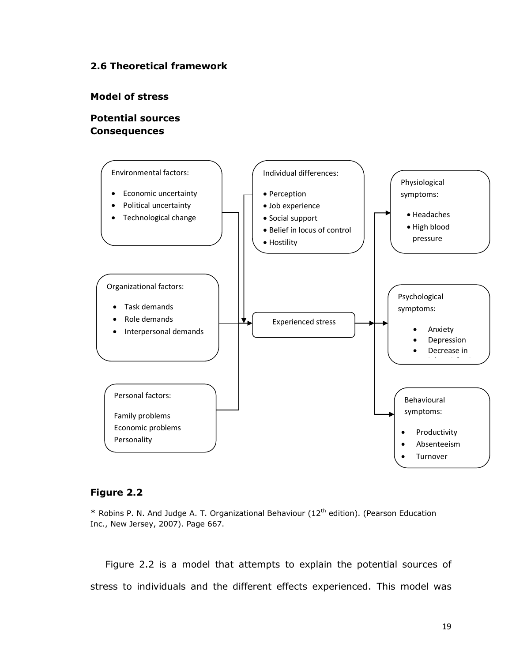## **2.6 Theoretical framework**

#### **Model of stress**

## **Potential sources Consequences**



## **Figure 2.2**

\* Robins P. N. And Judge A. T. Organizational Behaviour (12<sup>th</sup> edition). (Pearson Education Inc., New Jersey, 2007). Page 667.

Figure 2.2 is a model that attempts to explain the potential sources of stress to individuals and the different effects experienced. This model was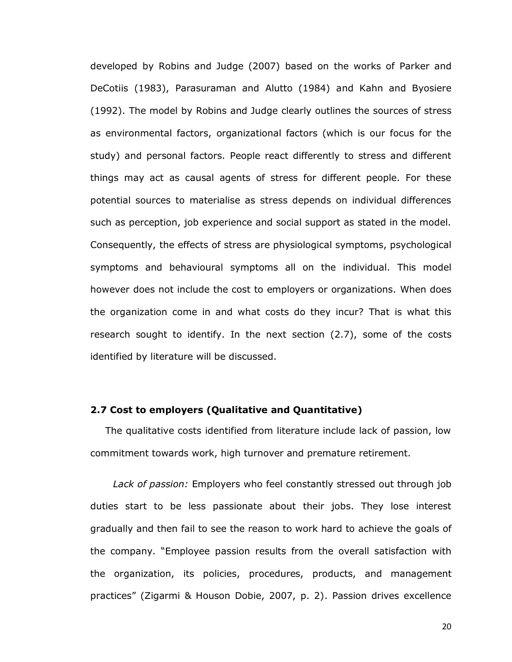developed by Robins and Judge (2007) based on the works of Parker and DeCotiis (1983), Parasuraman and Alutto (1984) and Kahn and Byosiere (1992). The model by Robins and Judge clearly outlines the sources of stress as environmental factors, organizational factors (which is our focus for the study) and personal factors. People react differently to stress and different things may act as causal agents of stress for different people. For these potential sources to materialise as stress depends on individual differences such as perception, job experience and social support as stated in the model. Consequently, the effects of stress are physiological symptoms, psychological symptoms and behavioural symptoms all on the individual. This model however does not include the cost to employers or organizations. When does the organization come in and what costs do they incur? That is what this research sought to identify. In the next section (2.7), some of the costs identified by literature will be discussed.

## **2.7 Cost to employers (Qualitative and Quantitative)**

The qualitative costs identified from literature include lack of passion, low commitment towards work, high turnover and premature retirement.

*Lack of passion:* Employers who feel constantly stressed out through job duties start to be less passionate about their jobs. They lose interest gradually and then fail to see the reason to work hard to achieve the goals of the company. "Employee passion results from the overall satisfaction with the organization, its policies, procedures, products, and management practices" (Zigarmi & Houson Dobie, 2007, p. 2). Passion drives excellence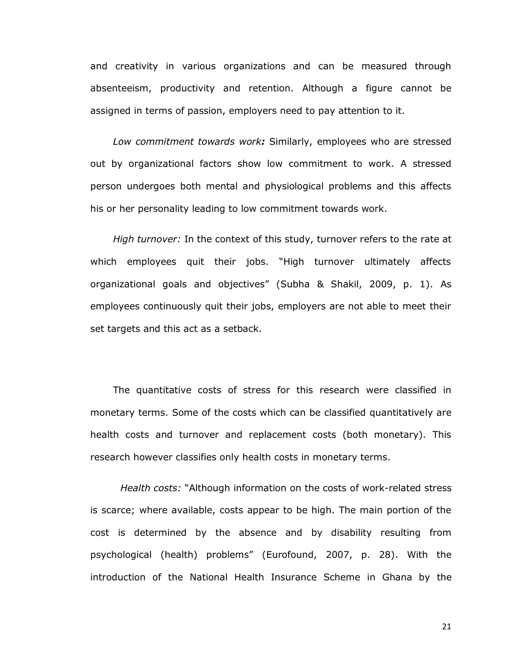and creativity in various organizations and can be measured through absenteeism, productivity and retention. Although a figure cannot be assigned in terms of passion, employers need to pay attention to it.

*Low commitment towards work:* Similarly, employees who are stressed out by organizational factors show low commitment to work. A stressed person undergoes both mental and physiological problems and this affects his or her personality leading to low commitment towards work.

*High turnover:* In the context of this study, turnover refers to the rate at which employees quit their jobs. "High turnover ultimately affects organizational goals and objectives" (Subha & Shakil, 2009, p. 1). As employees continuously quit their jobs, employers are not able to meet their set targets and this act as a setback.

The quantitative costs of stress for this research were classified in monetary terms. Some of the costs which can be classified quantitatively are health costs and turnover and replacement costs (both monetary). This research however classifies only health costs in monetary terms.

*Health costs:* "Although information on the costs of work-related stress is scarce; where available, costs appear to be high. The main portion of the cost is determined by the absence and by disability resulting from psychological (health) problems" (Eurofound, 2007, p. 28). With the introduction of the National Health Insurance Scheme in Ghana by the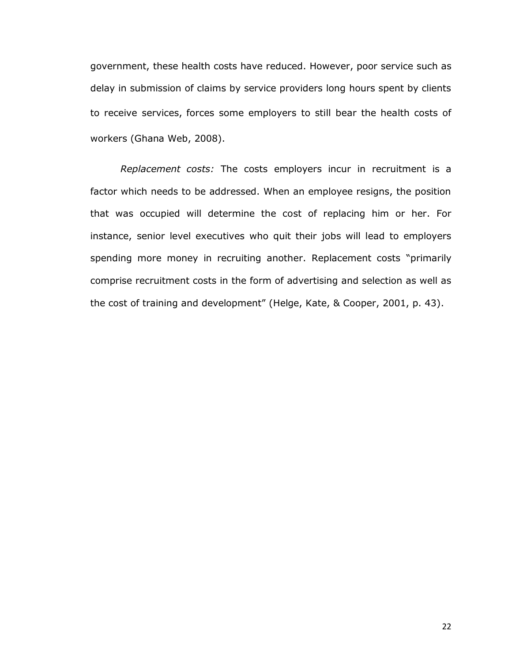government, these health costs have reduced. However, poor service such as delay in submission of claims by service providers long hours spent by clients to receive services, forces some employers to still bear the health costs of workers (Ghana Web, 2008).

*Replacement costs:* The costs employers incur in recruitment is a factor which needs to be addressed. When an employee resigns, the position that was occupied will determine the cost of replacing him or her. For instance, senior level executives who quit their jobs will lead to employers spending more money in recruiting another. Replacement costs "primarily comprise recruitment costs in the form of advertising and selection as well as the cost of training and development" (Helge, Kate, & Cooper, 2001, p. 43).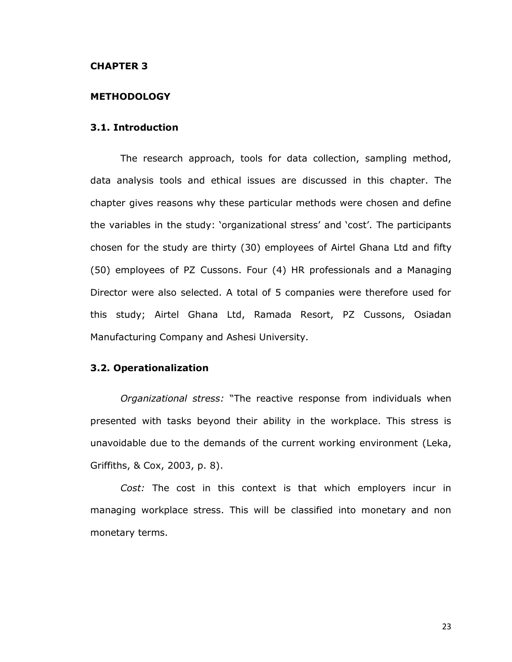#### **CHAPTER 3**

#### **METHODOLOGY**

#### **3.1. Introduction**

The research approach, tools for data collection, sampling method, data analysis tools and ethical issues are discussed in this chapter. The chapter gives reasons why these particular methods were chosen and define the variables in the study: "organizational stress" and "cost". The participants chosen for the study are thirty (30) employees of Airtel Ghana Ltd and fifty (50) employees of PZ Cussons. Four (4) HR professionals and a Managing Director were also selected. A total of 5 companies were therefore used for this study; Airtel Ghana Ltd, Ramada Resort, PZ Cussons, Osiadan Manufacturing Company and Ashesi University.

### **3.2. Operationalization**

*Organizational stress:* "The reactive response from individuals when presented with tasks beyond their ability in the workplace. This stress is unavoidable due to the demands of the current working environment (Leka, Griffiths, & Cox, 2003, p. 8).

*Cost:* The cost in this context is that which employers incur in managing workplace stress. This will be classified into monetary and non monetary terms.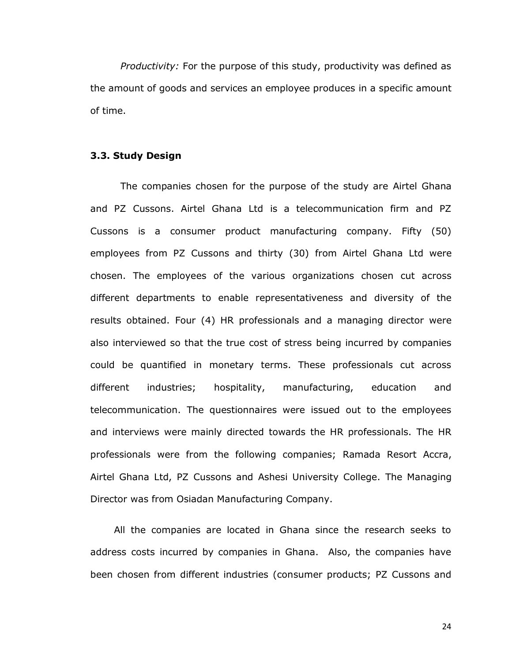*Productivity:* For the purpose of this study, productivity was defined as the amount of goods and services an employee produces in a specific amount of time.

#### **3.3. Study Design**

The companies chosen for the purpose of the study are Airtel Ghana and PZ Cussons. Airtel Ghana Ltd is a telecommunication firm and PZ Cussons is a consumer product manufacturing company. Fifty (50) employees from PZ Cussons and thirty (30) from Airtel Ghana Ltd were chosen. The employees of the various organizations chosen cut across different departments to enable representativeness and diversity of the results obtained. Four (4) HR professionals and a managing director were also interviewed so that the true cost of stress being incurred by companies could be quantified in monetary terms. These professionals cut across different industries; hospitality, manufacturing, education and telecommunication. The questionnaires were issued out to the employees and interviews were mainly directed towards the HR professionals. The HR professionals were from the following companies; Ramada Resort Accra, Airtel Ghana Ltd, PZ Cussons and Ashesi University College. The Managing Director was from Osiadan Manufacturing Company.

All the companies are located in Ghana since the research seeks to address costs incurred by companies in Ghana. Also, the companies have been chosen from different industries (consumer products; PZ Cussons and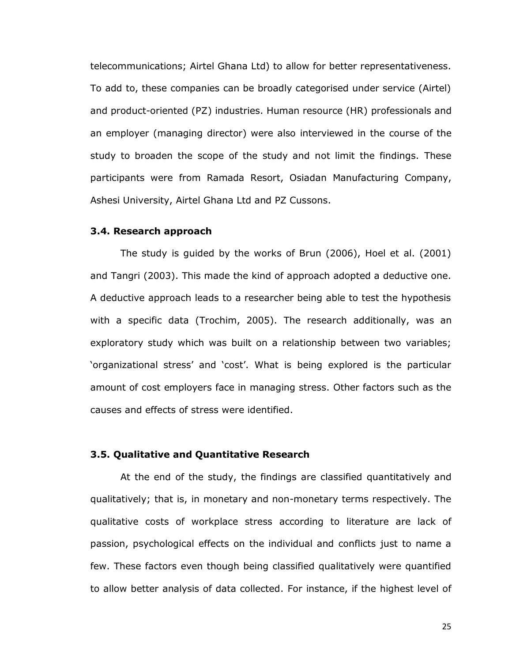telecommunications; Airtel Ghana Ltd) to allow for better representativeness. To add to, these companies can be broadly categorised under service (Airtel) and product-oriented (PZ) industries. Human resource (HR) professionals and an employer (managing director) were also interviewed in the course of the study to broaden the scope of the study and not limit the findings. These participants were from Ramada Resort, Osiadan Manufacturing Company, Ashesi University, Airtel Ghana Ltd and PZ Cussons.

#### **3.4. Research approach**

The study is guided by the works of Brun (2006), Hoel et al. (2001) and Tangri (2003). This made the kind of approach adopted a deductive one. A deductive approach leads to a researcher being able to test the hypothesis with a specific data (Trochim, 2005). The research additionally, was an exploratory study which was built on a relationship between two variables; "organizational stress" and "cost". What is being explored is the particular amount of cost employers face in managing stress. Other factors such as the causes and effects of stress were identified.

#### **3.5. Qualitative and Quantitative Research**

At the end of the study, the findings are classified quantitatively and qualitatively; that is, in monetary and non-monetary terms respectively. The qualitative costs of workplace stress according to literature are lack of passion, psychological effects on the individual and conflicts just to name a few. These factors even though being classified qualitatively were quantified to allow better analysis of data collected. For instance, if the highest level of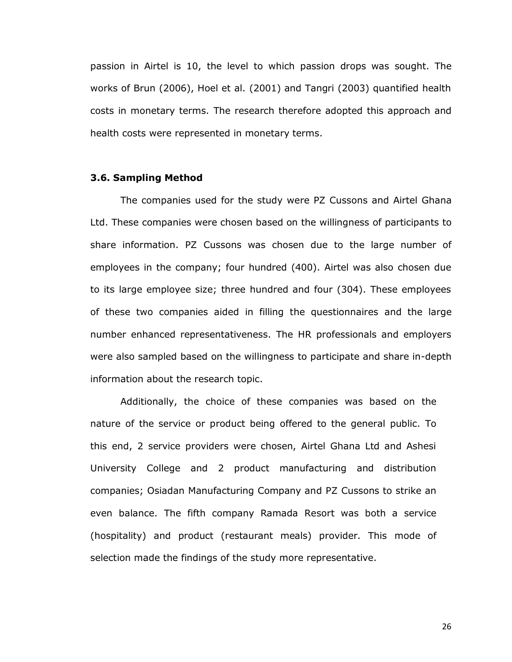passion in Airtel is 10, the level to which passion drops was sought. The works of Brun (2006), Hoel et al. (2001) and Tangri (2003) quantified health costs in monetary terms. The research therefore adopted this approach and health costs were represented in monetary terms.

#### **3.6. Sampling Method**

The companies used for the study were PZ Cussons and Airtel Ghana Ltd. These companies were chosen based on the willingness of participants to share information. PZ Cussons was chosen due to the large number of employees in the company; four hundred (400). Airtel was also chosen due to its large employee size; three hundred and four (304). These employees of these two companies aided in filling the questionnaires and the large number enhanced representativeness. The HR professionals and employers were also sampled based on the willingness to participate and share in-depth information about the research topic.

Additionally, the choice of these companies was based on the nature of the service or product being offered to the general public. To this end, 2 service providers were chosen, Airtel Ghana Ltd and Ashesi University College and 2 product manufacturing and distribution companies; Osiadan Manufacturing Company and PZ Cussons to strike an even balance. The fifth company Ramada Resort was both a service (hospitality) and product (restaurant meals) provider. This mode of selection made the findings of the study more representative.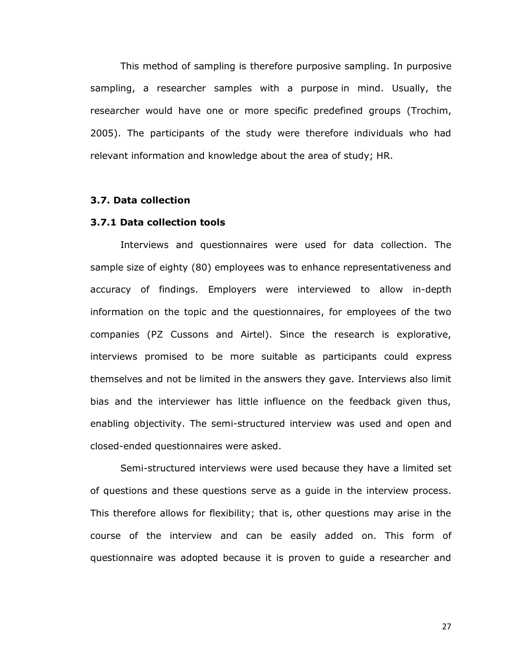This method of sampling is therefore purposive sampling. In purposive sampling, a researcher samples with a purpose in mind. Usually, the researcher would have one or more specific predefined groups (Trochim, 2005). The participants of the study were therefore individuals who had relevant information and knowledge about the area of study; HR.

#### **3.7. Data collection**

### **3.7.1 Data collection tools**

Interviews and questionnaires were used for data collection. The sample size of eighty (80) employees was to enhance representativeness and accuracy of findings. Employers were interviewed to allow in-depth information on the topic and the questionnaires, for employees of the two companies (PZ Cussons and Airtel). Since the research is explorative, interviews promised to be more suitable as participants could express themselves and not be limited in the answers they gave. Interviews also limit bias and the interviewer has little influence on the feedback given thus, enabling objectivity. The semi-structured interview was used and open and closed-ended questionnaires were asked.

Semi-structured interviews were used because they have a limited set of questions and these questions serve as a guide in the interview process. This therefore allows for flexibility; that is, other questions may arise in the course of the interview and can be easily added on. This form of questionnaire was adopted because it is proven to guide a researcher and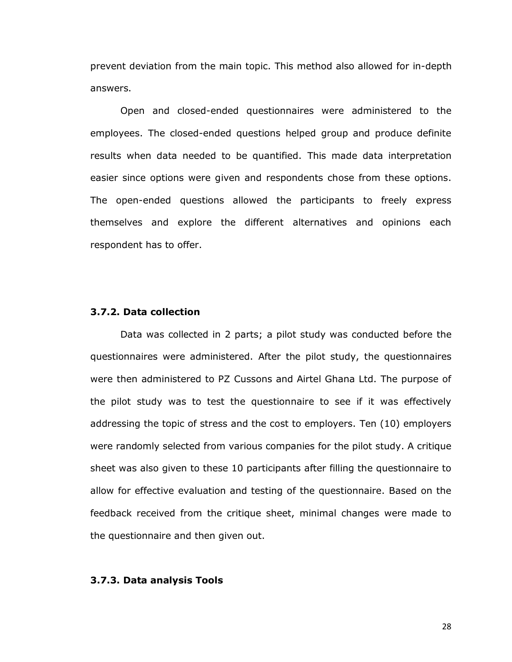prevent deviation from the main topic. This method also allowed for in-depth answers.

Open and closed-ended questionnaires were administered to the employees. The closed-ended questions helped group and produce definite results when data needed to be quantified. This made data interpretation easier since options were given and respondents chose from these options. The open-ended questions allowed the participants to freely express themselves and explore the different alternatives and opinions each respondent has to offer.

#### **3.7.2. Data collection**

Data was collected in 2 parts; a pilot study was conducted before the questionnaires were administered. After the pilot study, the questionnaires were then administered to PZ Cussons and Airtel Ghana Ltd. The purpose of the pilot study was to test the questionnaire to see if it was effectively addressing the topic of stress and the cost to employers. Ten (10) employers were randomly selected from various companies for the pilot study. A critique sheet was also given to these 10 participants after filling the questionnaire to allow for effective evaluation and testing of the questionnaire. Based on the feedback received from the critique sheet, minimal changes were made to the questionnaire and then given out.

#### **3.7.3. Data analysis Tools**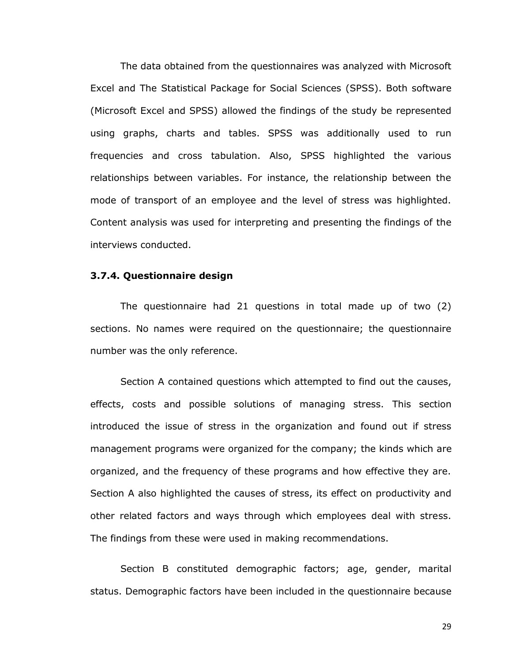The data obtained from the questionnaires was analyzed with Microsoft Excel and The Statistical Package for Social Sciences (SPSS). Both software (Microsoft Excel and SPSS) allowed the findings of the study be represented using graphs, charts and tables. SPSS was additionally used to run frequencies and cross tabulation. Also, SPSS highlighted the various relationships between variables. For instance, the relationship between the mode of transport of an employee and the level of stress was highlighted. Content analysis was used for interpreting and presenting the findings of the interviews conducted.

## **3.7.4. Questionnaire design**

The questionnaire had 21 questions in total made up of two (2) sections. No names were required on the questionnaire; the questionnaire number was the only reference.

Section A contained questions which attempted to find out the causes, effects, costs and possible solutions of managing stress. This section introduced the issue of stress in the organization and found out if stress management programs were organized for the company; the kinds which are organized, and the frequency of these programs and how effective they are. Section A also highlighted the causes of stress, its effect on productivity and other related factors and ways through which employees deal with stress. The findings from these were used in making recommendations.

Section B constituted demographic factors; age, gender, marital status. Demographic factors have been included in the questionnaire because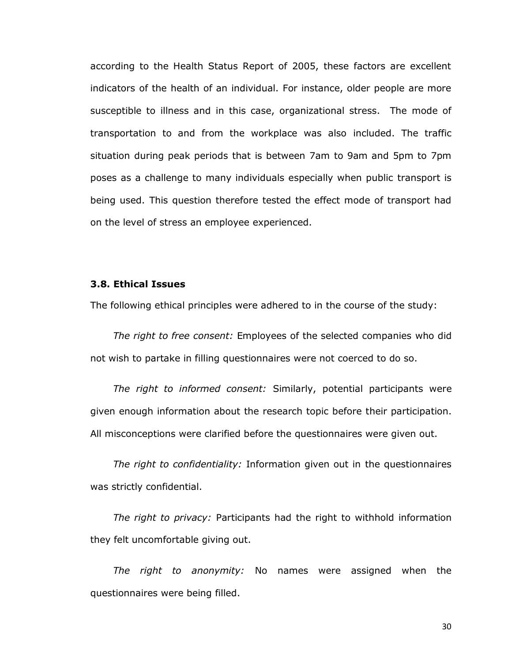according to the Health Status Report of 2005, these factors are excellent indicators of the health of an individual. For instance, older people are more susceptible to illness and in this case, organizational stress. The mode of transportation to and from the workplace was also included. The traffic situation during peak periods that is between 7am to 9am and 5pm to 7pm poses as a challenge to many individuals especially when public transport is being used. This question therefore tested the effect mode of transport had on the level of stress an employee experienced.

#### **3.8. Ethical Issues**

The following ethical principles were adhered to in the course of the study:

*The right to free consent:* Employees of the selected companies who did not wish to partake in filling questionnaires were not coerced to do so.

*The right to informed consent:* Similarly, potential participants were given enough information about the research topic before their participation. All misconceptions were clarified before the questionnaires were given out.

*The right to confidentiality:* Information given out in the questionnaires was strictly confidential.

*The right to privacy:* Participants had the right to withhold information they felt uncomfortable giving out.

*The right to anonymity:* No names were assigned when the questionnaires were being filled.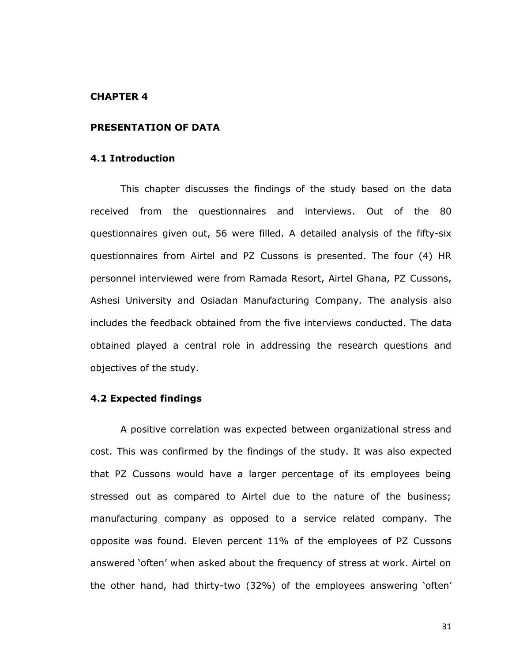#### **CHAPTER 4**

#### **PRESENTATION OF DATA**

#### **4.1 Introduction**

This chapter discusses the findings of the study based on the data received from the questionnaires and interviews. Out of the 80 questionnaires given out, 56 were filled. A detailed analysis of the fifty-six questionnaires from Airtel and PZ Cussons is presented. The four (4) HR personnel interviewed were from Ramada Resort, Airtel Ghana, PZ Cussons, Ashesi University and Osiadan Manufacturing Company. The analysis also includes the feedback obtained from the five interviews conducted. The data obtained played a central role in addressing the research questions and objectives of the study.

## **4.2 Expected findings**

A positive correlation was expected between organizational stress and cost. This was confirmed by the findings of the study. It was also expected that PZ Cussons would have a larger percentage of its employees being stressed out as compared to Airtel due to the nature of the business; manufacturing company as opposed to a service related company. The opposite was found. Eleven percent 11% of the employees of PZ Cussons answered "often" when asked about the frequency of stress at work. Airtel on the other hand, had thirty-two (32%) of the employees answering "often"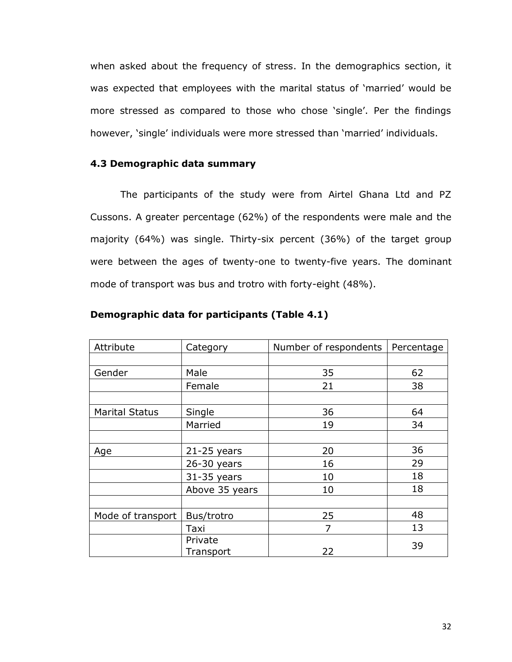when asked about the frequency of stress. In the demographics section, it was expected that employees with the marital status of "married" would be more stressed as compared to those who chose 'single'. Per the findings however, 'single' individuals were more stressed than 'married' individuals.

## **4.3 Demographic data summary**

The participants of the study were from Airtel Ghana Ltd and PZ Cussons. A greater percentage (62%) of the respondents were male and the majority (64%) was single. Thirty-six percent (36%) of the target group were between the ages of twenty-one to twenty-five years. The dominant mode of transport was bus and trotro with forty-eight (48%).

| Attribute             | Category             | Number of respondents | Percentage |
|-----------------------|----------------------|-----------------------|------------|
|                       |                      |                       |            |
| Gender                | Male                 | 35                    | 62         |
|                       | Female               | 21                    | 38         |
|                       |                      |                       |            |
| <b>Marital Status</b> | Single               | 36                    | 64         |
|                       | Married              | 19                    | 34         |
|                       |                      |                       |            |
| Age                   | $21-25$ years        | 20                    | 36         |
|                       | $26-30$ years        | 16                    | 29         |
|                       | $31-35$ years        | 10                    | 18         |
|                       | Above 35 years       | 10                    | 18         |
|                       |                      |                       |            |
| Mode of transport     | Bus/trotro           | 25                    | 48         |
|                       | Taxi                 | 7                     | 13         |
|                       | Private<br>Transport | 22                    | 39         |

#### **Demographic data for participants (Table 4.1)**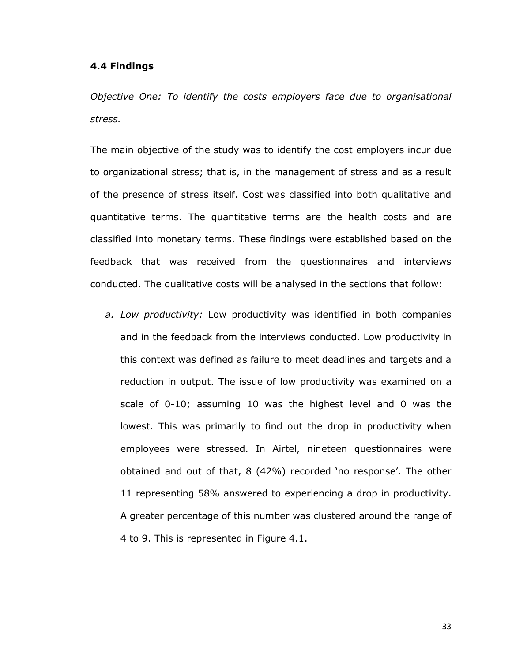#### **4.4 Findings**

*Objective One: To identify the costs employers face due to organisational stress.*

The main objective of the study was to identify the cost employers incur due to organizational stress; that is, in the management of stress and as a result of the presence of stress itself. Cost was classified into both qualitative and quantitative terms. The quantitative terms are the health costs and are classified into monetary terms. These findings were established based on the feedback that was received from the questionnaires and interviews conducted. The qualitative costs will be analysed in the sections that follow:

*a. Low productivity:* Low productivity was identified in both companies and in the feedback from the interviews conducted. Low productivity in this context was defined as failure to meet deadlines and targets and a reduction in output. The issue of low productivity was examined on a scale of 0-10; assuming 10 was the highest level and 0 was the lowest. This was primarily to find out the drop in productivity when employees were stressed. In Airtel, nineteen questionnaires were obtained and out of that, 8 (42%) recorded 'no response'. The other 11 representing 58% answered to experiencing a drop in productivity. A greater percentage of this number was clustered around the range of 4 to 9. This is represented in Figure 4.1.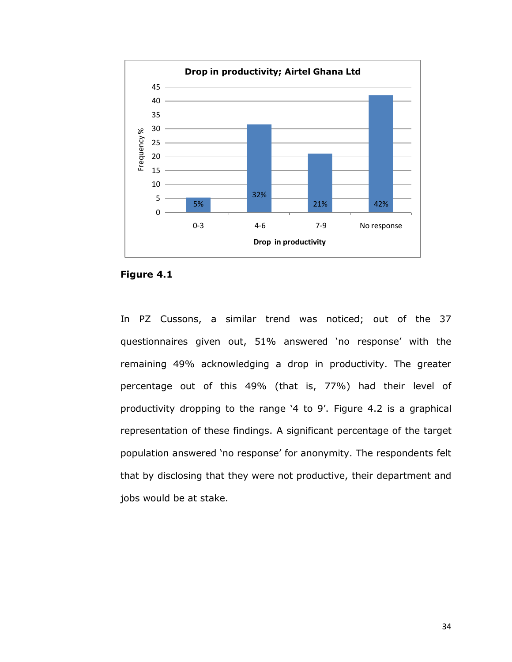

**Figure 4.1**

In PZ Cussons, a similar trend was noticed; out of the 37 questionnaires given out, 51% answered "no response" with the remaining 49% acknowledging a drop in productivity. The greater percentage out of this 49% (that is, 77%) had their level of productivity dropping to the range '4 to 9'. Figure 4.2 is a graphical representation of these findings. A significant percentage of the target population answered "no response" for anonymity. The respondents felt that by disclosing that they were not productive, their department and jobs would be at stake.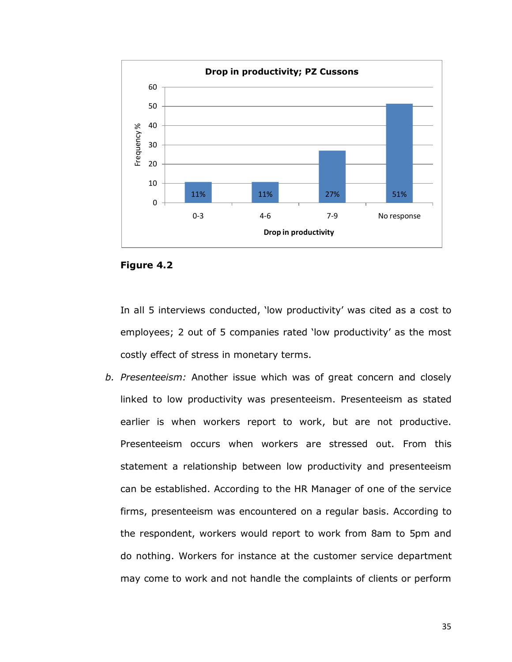

#### **Figure 4.2**

In all 5 interviews conducted, "low productivity" was cited as a cost to employees; 2 out of 5 companies rated "low productivity" as the most costly effect of stress in monetary terms.

*b. Presenteeism:* Another issue which was of great concern and closely linked to low productivity was presenteeism. Presenteeism as stated earlier is when workers report to work, but are not productive. Presenteeism occurs when workers are stressed out. From this statement a relationship between low productivity and presenteeism can be established. According to the HR Manager of one of the service firms, presenteeism was encountered on a regular basis. According to the respondent, workers would report to work from 8am to 5pm and do nothing. Workers for instance at the customer service department may come to work and not handle the complaints of clients or perform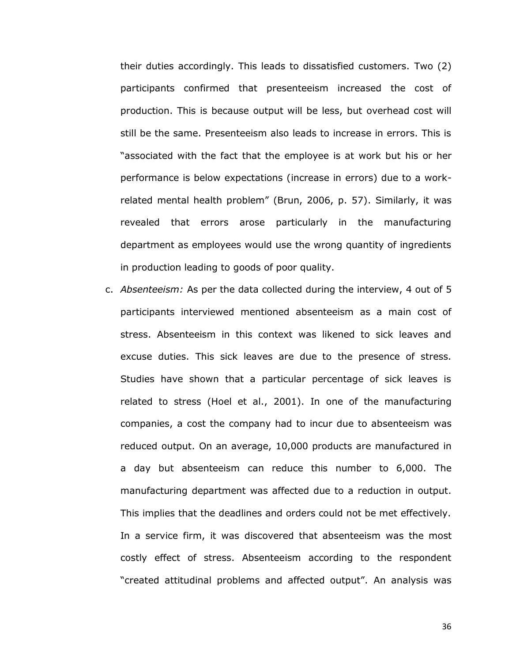their duties accordingly. This leads to dissatisfied customers. Two (2) participants confirmed that presenteeism increased the cost of production. This is because output will be less, but overhead cost will still be the same. Presenteeism also leads to increase in errors. This is "associated with the fact that the employee is at work but his or her performance is below expectations (increase in errors) due to a workrelated mental health problem" (Brun, 2006, p. 57). Similarly, it was revealed that errors arose particularly in the manufacturing department as employees would use the wrong quantity of ingredients in production leading to goods of poor quality.

c. *Absenteeism:* As per the data collected during the interview, 4 out of 5 participants interviewed mentioned absenteeism as a main cost of stress. Absenteeism in this context was likened to sick leaves and excuse duties. This sick leaves are due to the presence of stress. Studies have shown that a particular percentage of sick leaves is related to stress (Hoel et al., 2001). In one of the manufacturing companies, a cost the company had to incur due to absenteeism was reduced output. On an average, 10,000 products are manufactured in a day but absenteeism can reduce this number to 6,000. The manufacturing department was affected due to a reduction in output. This implies that the deadlines and orders could not be met effectively. In a service firm, it was discovered that absenteeism was the most costly effect of stress. Absenteeism according to the respondent "created attitudinal problems and affected output". An analysis was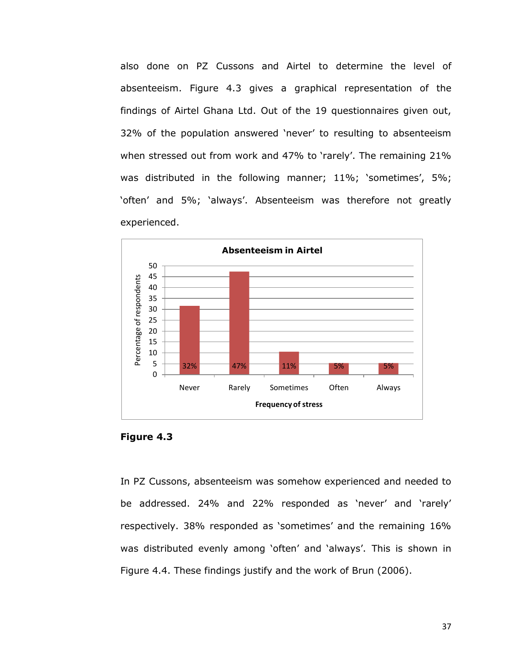also done on PZ Cussons and Airtel to determine the level of absenteeism. Figure 4.3 gives a graphical representation of the findings of Airtel Ghana Ltd. Out of the 19 questionnaires given out, 32% of the population answered "never" to resulting to absenteeism when stressed out from work and 47% to 'rarely'. The remaining 21% was distributed in the following manner; 11%; 'sometimes', 5%; 'often' and 5%; 'always'. Absenteeism was therefore not greatly experienced.





In PZ Cussons, absenteeism was somehow experienced and needed to be addressed. 24% and 22% responded as 'never' and 'rarely' respectively. 38% responded as 'sometimes' and the remaining 16% was distributed evenly among 'often' and 'always'. This is shown in Figure 4.4. These findings justify and the work of Brun (2006).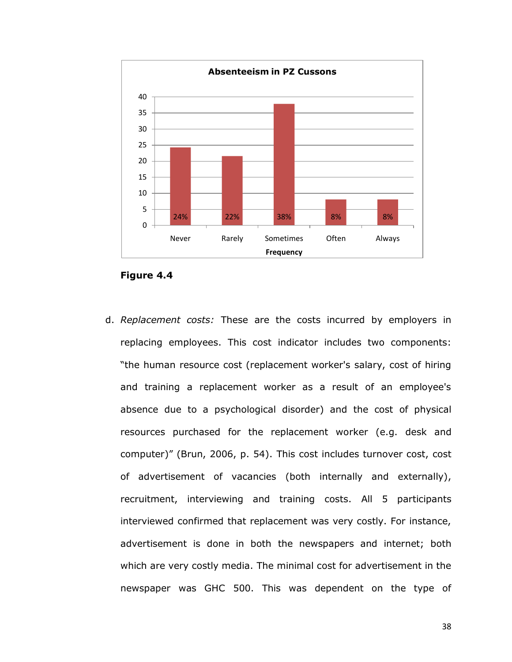

**Figure 4.4**

d. *Replacement costs:* These are the costs incurred by employers in replacing employees. This cost indicator includes two components: "the human resource cost (replacement worker's salary, cost of hiring and training a replacement worker as a result of an employee's absence due to a psychological disorder) and the cost of physical resources purchased for the replacement worker (e.g. desk and computer)" (Brun, 2006, p. 54). This cost includes turnover cost, cost of advertisement of vacancies (both internally and externally), recruitment, interviewing and training costs. All 5 participants interviewed confirmed that replacement was very costly. For instance, advertisement is done in both the newspapers and internet; both which are very costly media. The minimal cost for advertisement in the newspaper was GHC 500. This was dependent on the type of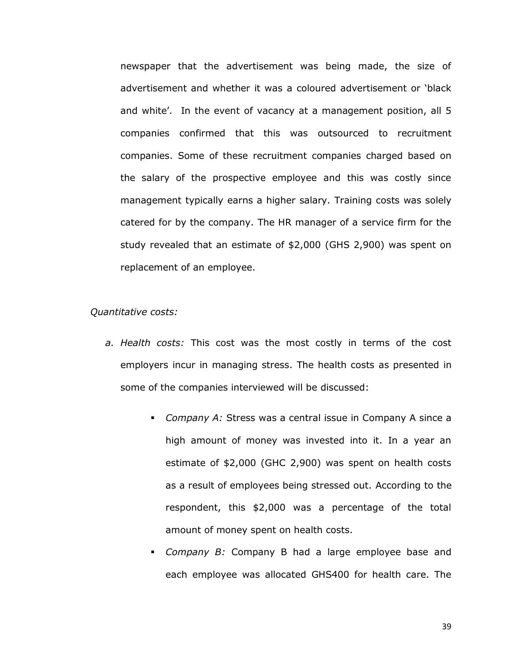newspaper that the advertisement was being made, the size of advertisement and whether it was a coloured advertisement or "black and white'. In the event of vacancy at a management position, all 5 companies confirmed that this was outsourced to recruitment companies. Some of these recruitment companies charged based on the salary of the prospective employee and this was costly since management typically earns a higher salary. Training costs was solely catered for by the company. The HR manager of a service firm for the study revealed that an estimate of \$2,000 (GHS 2,900) was spent on replacement of an employee.

#### *Quantitative costs:*

- *a. Health costs:* This cost was the most costly in terms of the cost employers incur in managing stress. The health costs as presented in some of the companies interviewed will be discussed:
	- *Company A:* Stress was a central issue in Company A since a high amount of money was invested into it. In a year an estimate of \$2,000 (GHC 2,900) was spent on health costs as a result of employees being stressed out. According to the respondent, this \$2,000 was a percentage of the total amount of money spent on health costs.
	- *Company B:* Company B had a large employee base and each employee was allocated GHS400 for health care. The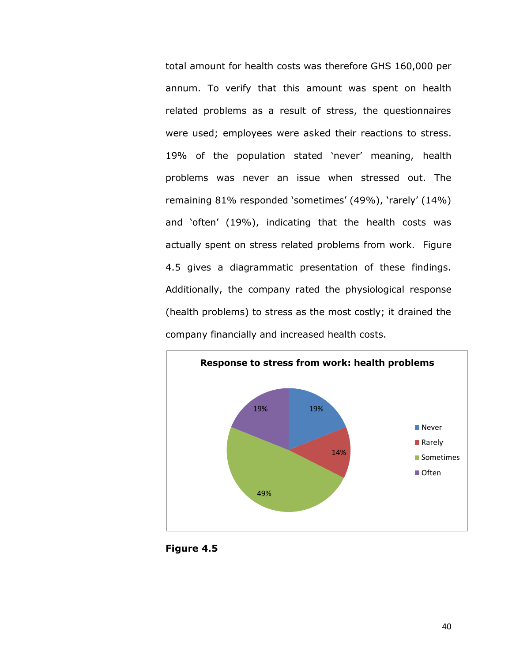total amount for health costs was therefore GHS 160,000 per annum. To verify that this amount was spent on health related problems as a result of stress, the questionnaires were used; employees were asked their reactions to stress. 19% of the population stated "never" meaning, health problems was never an issue when stressed out. The remaining 81% responded 'sometimes' (49%), 'rarely' (14%) and "often" (19%), indicating that the health costs was actually spent on stress related problems from work. Figure 4.5 gives a diagrammatic presentation of these findings. Additionally, the company rated the physiological response (health problems) to stress as the most costly; it drained the company financially and increased health costs.



**Figure 4.5**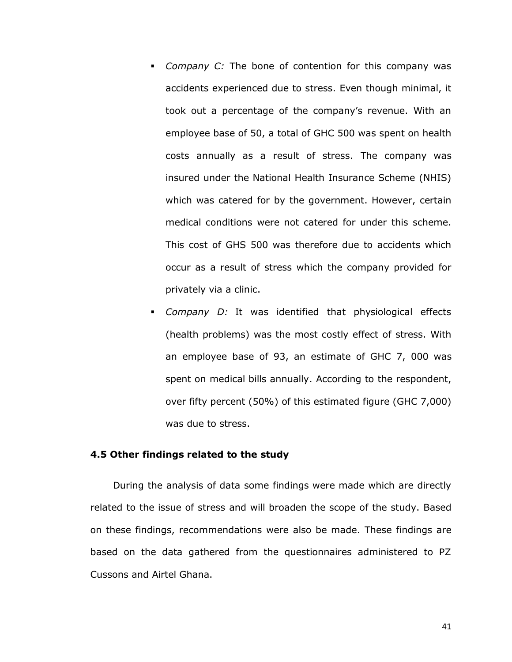- *Company C:* The bone of contention for this company was accidents experienced due to stress. Even though minimal, it took out a percentage of the company"s revenue. With an employee base of 50, a total of GHC 500 was spent on health costs annually as a result of stress. The company was insured under the National Health Insurance Scheme (NHIS) which was catered for by the government. However, certain medical conditions were not catered for under this scheme. This cost of GHS 500 was therefore due to accidents which occur as a result of stress which the company provided for privately via a clinic.
- *Company D:* It was identified that physiological effects (health problems) was the most costly effect of stress. With an employee base of 93, an estimate of GHC 7, 000 was spent on medical bills annually. According to the respondent, over fifty percent (50%) of this estimated figure (GHC 7,000) was due to stress.

## **4.5 Other findings related to the study**

During the analysis of data some findings were made which are directly related to the issue of stress and will broaden the scope of the study. Based on these findings, recommendations were also be made. These findings are based on the data gathered from the questionnaires administered to PZ Cussons and Airtel Ghana.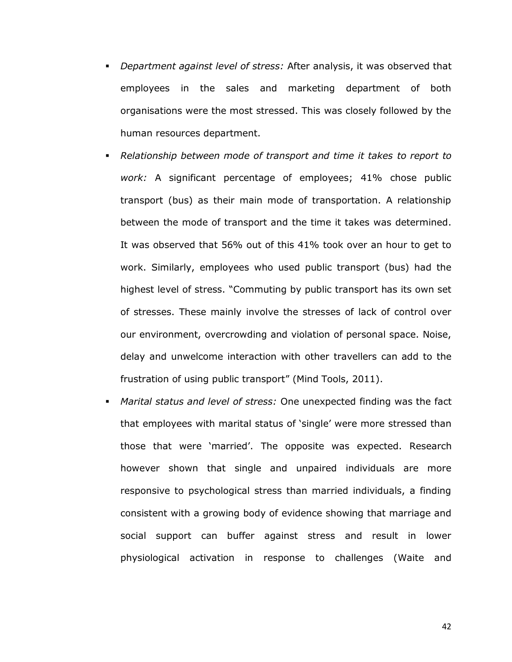- *Department against level of stress:* After analysis, it was observed that employees in the sales and marketing department of both organisations were the most stressed. This was closely followed by the human resources department.
- *Relationship between mode of transport and time it takes to report to work:* A significant percentage of employees; 41% chose public transport (bus) as their main mode of transportation. A relationship between the mode of transport and the time it takes was determined. It was observed that 56% out of this 41% took over an hour to get to work. Similarly, employees who used public transport (bus) had the highest level of stress. "Commuting by public transport has its own set of stresses. These mainly involve the stresses of lack of control over our environment, overcrowding and violation of personal space. Noise, delay and unwelcome interaction with other travellers can add to the frustration of using public transport" (Mind Tools, 2011).
- *Marital status and level of stress:* One unexpected finding was the fact that employees with marital status of "single" were more stressed than those that were "married". The opposite was expected. Research however shown that single and unpaired individuals are more responsive to psychological stress than married individuals, a finding consistent with a growing body of evidence showing that marriage and social support can buffer against stress and result in lower physiological activation in response to challenges (Waite and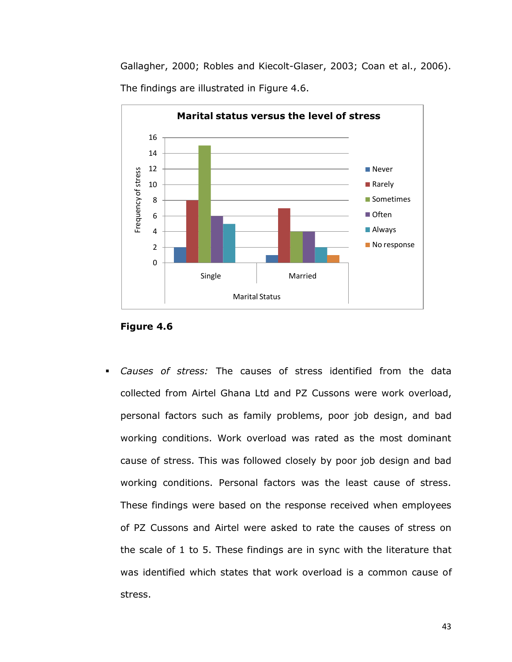Gallagher, 2000; Robles and Kiecolt-Glaser, 2003; Coan et al., 2006). The findings are illustrated in Figure 4.6.



**Figure 4.6**

 *Causes of stress:* The causes of stress identified from the data collected from Airtel Ghana Ltd and PZ Cussons were work overload, personal factors such as family problems, poor job design, and bad working conditions. Work overload was rated as the most dominant cause of stress. This was followed closely by poor job design and bad working conditions. Personal factors was the least cause of stress. These findings were based on the response received when employees of PZ Cussons and Airtel were asked to rate the causes of stress on the scale of 1 to 5. These findings are in sync with the literature that was identified which states that work overload is a common cause of stress.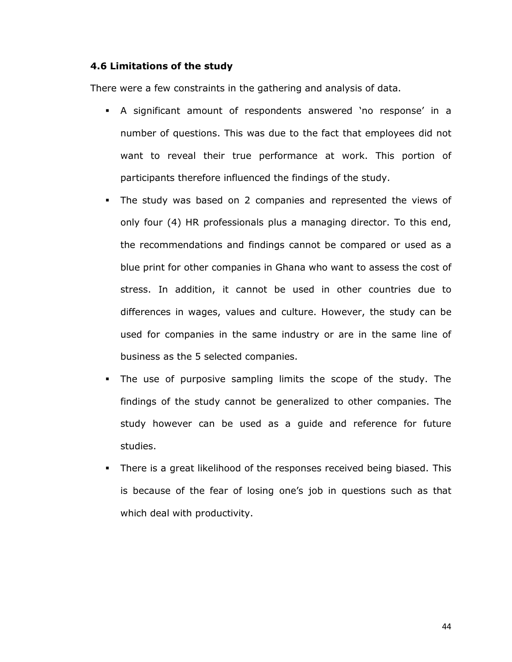## **4.6 Limitations of the study**

There were a few constraints in the gathering and analysis of data.

- A significant amount of respondents answered "no response" in a number of questions. This was due to the fact that employees did not want to reveal their true performance at work. This portion of participants therefore influenced the findings of the study.
- The study was based on 2 companies and represented the views of only four (4) HR professionals plus a managing director. To this end, the recommendations and findings cannot be compared or used as a blue print for other companies in Ghana who want to assess the cost of stress. In addition, it cannot be used in other countries due to differences in wages, values and culture. However, the study can be used for companies in the same industry or are in the same line of business as the 5 selected companies.
- The use of purposive sampling limits the scope of the study. The findings of the study cannot be generalized to other companies. The study however can be used as a guide and reference for future studies.
- There is a great likelihood of the responses received being biased. This is because of the fear of losing one"s job in questions such as that which deal with productivity.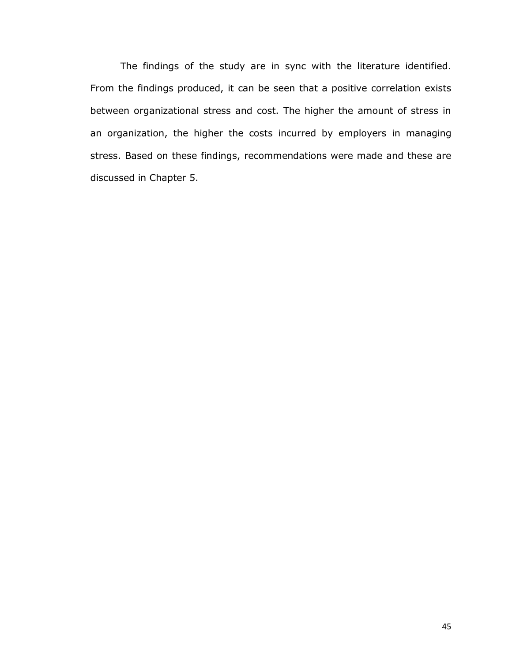The findings of the study are in sync with the literature identified. From the findings produced, it can be seen that a positive correlation exists between organizational stress and cost. The higher the amount of stress in an organization, the higher the costs incurred by employers in managing stress. Based on these findings, recommendations were made and these are discussed in Chapter 5.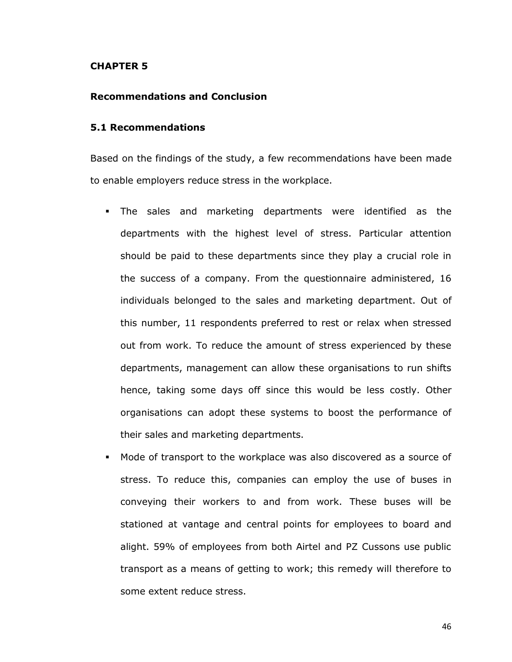#### **CHAPTER 5**

## **Recommendations and Conclusion**

#### **5.1 Recommendations**

Based on the findings of the study, a few recommendations have been made to enable employers reduce stress in the workplace.

- The sales and marketing departments were identified as the departments with the highest level of stress. Particular attention should be paid to these departments since they play a crucial role in the success of a company. From the questionnaire administered, 16 individuals belonged to the sales and marketing department. Out of this number, 11 respondents preferred to rest or relax when stressed out from work. To reduce the amount of stress experienced by these departments, management can allow these organisations to run shifts hence, taking some days off since this would be less costly. Other organisations can adopt these systems to boost the performance of their sales and marketing departments.
- Mode of transport to the workplace was also discovered as a source of stress. To reduce this, companies can employ the use of buses in conveying their workers to and from work. These buses will be stationed at vantage and central points for employees to board and alight. 59% of employees from both Airtel and PZ Cussons use public transport as a means of getting to work; this remedy will therefore to some extent reduce stress.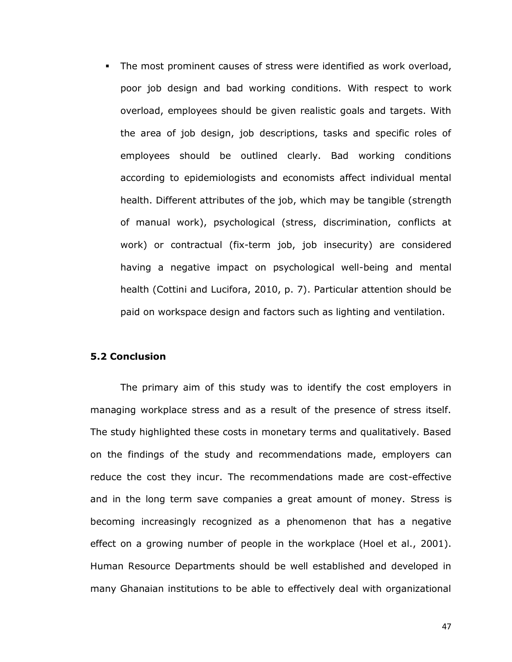The most prominent causes of stress were identified as work overload, poor job design and bad working conditions. With respect to work overload, employees should be given realistic goals and targets. With the area of job design, job descriptions, tasks and specific roles of employees should be outlined clearly. Bad working conditions according to epidemiologists and economists affect individual mental health. Different attributes of the job, which may be tangible (strength of manual work), psychological (stress, discrimination, conflicts at work) or contractual (fix-term job, job insecurity) are considered having a negative impact on psychological well-being and mental health (Cottini and Lucifora, 2010, p. 7). Particular attention should be paid on workspace design and factors such as lighting and ventilation.

## **5.2 Conclusion**

The primary aim of this study was to identify the cost employers in managing workplace stress and as a result of the presence of stress itself. The study highlighted these costs in monetary terms and qualitatively. Based on the findings of the study and recommendations made, employers can reduce the cost they incur. The recommendations made are cost-effective and in the long term save companies a great amount of money. Stress is becoming increasingly recognized as a phenomenon that has a negative effect on a growing number of people in the workplace (Hoel et al., 2001). Human Resource Departments should be well established and developed in many Ghanaian institutions to be able to effectively deal with organizational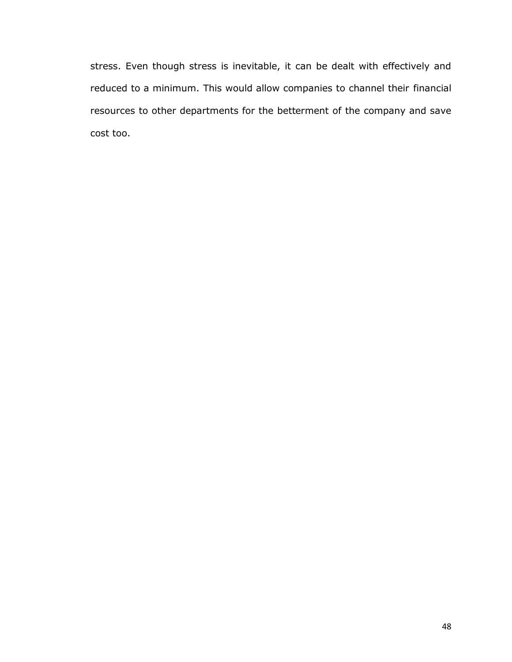stress. Even though stress is inevitable, it can be dealt with effectively and reduced to a minimum. This would allow companies to channel their financial resources to other departments for the betterment of the company and save cost too.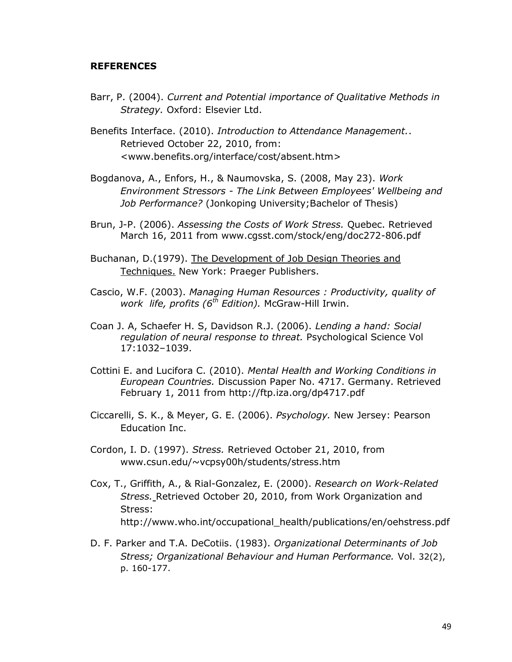#### **REFERENCES**

Barr, P. (2004). *Current and Potential importance of Qualitative Methods in Strategy.* Oxford: Elsevier Ltd.

Benefits Interface. (2010). *Introduction to Attendance Management.*. Retrieved October 22, 2010, from: <www.benefits.org/interface/cost/absent.htm>

- Bogdanova, A., Enfors, H., & Naumovska, S. (2008, May 23). *Work Environment Stressors - The Link Between Employees' Wellbeing and Job Performance?* (Jonkoping University;Bachelor of Thesis)
- Brun, J-P. (2006). *Assessing the Costs of Work Stress.* Quebec. Retrieved March 16, 2011 from www.cgsst.com/stock/eng/doc272-806.pdf
- Buchanan, D.(1979). The Development of Job Design Theories and Techniques. New York: Praeger Publishers.
- Cascio, W.F. (2003). *Managing Human Resources : Productivity, quality of work life, profits (6th Edition).* McGraw-Hill Irwin.
- Coan J. A, Schaefer H. S, Davidson R.J. (2006). *Lending a hand: Social regulation of neural response to threat.* Psychological Science Vol 17:1032–1039.
- Cottini E. and Lucifora C. (2010). *Mental Health and Working Conditions in European Countries.* Discussion Paper No. 4717. Germany. Retrieved February 1, 2011 from <http://ftp.iza.org/dp4717.pdf>
- Ciccarelli, S. K., & Meyer, G. E. (2006). *Psychology.* New Jersey: Pearson Education Inc.
- Cordon, I. D. (1997). *Stress.* Retrieved October 21, 2010, from www.csun.edu/~vcpsy00h/students/stress.htm
- Cox, T., Griffith, A., & Rial-Gonzalez, E. (2000). *Research on Work-Related Stress.* Retrieved October 20, 2010, from Work Organization and Stress: [http://www.who.int/occupational\\_health/publications/en/oehstress.pdf](http://www.who.int/occupational_health/publications/en/oehstress.pdf)
- D. F. Parker and T.A. DeCotiis. (1983). *Organizational Determinants of Job Stress; Organizational Behaviour and Human Performance.* Vol. 32(2), p. 160-177.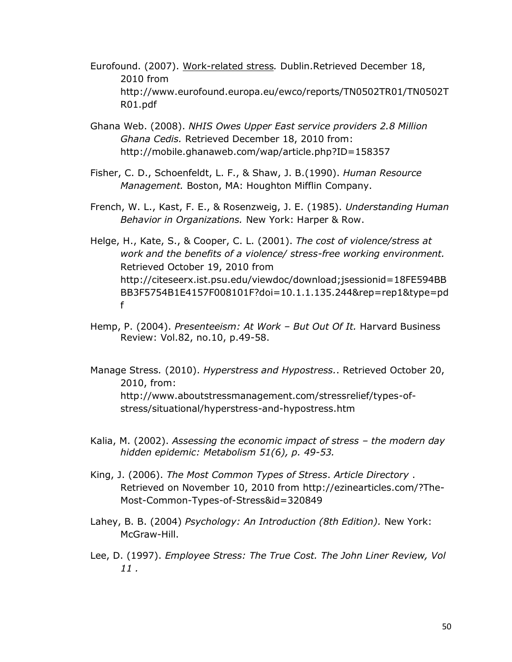- Eurofound. (2007). Work-related stress*.* Dublin.Retrieved December 18, 2010 from [http://www.eurofound.europa.eu/ewco/reports/TN0502TR01/TN0502T](http://www.eurofound.europa.eu/ewco/reports/TN0502TR01/TN0502TR01.pdf) [R01.pdf](http://www.eurofound.europa.eu/ewco/reports/TN0502TR01/TN0502TR01.pdf)
- Ghana Web. (2008). *NHIS Owes Upper East service providers 2.8 Million Ghana Cedis.* Retrieved December 18, 2010 from: http://mobile.ghanaweb.com/wap/article.php?ID=158357
- Fisher, C. D., Schoenfeldt, L. F., & Shaw, J. B.(1990). *Human Resource Management.* Boston, MA: Houghton Mifflin Company.
- French, W. L., Kast, F. E., & Rosenzweig, J. E. (1985). *Understanding Human Behavior in Organizations.* New York: Harper & Row.
- Helge, H., Kate, S., & Cooper, C. L. (2001). *The cost of violence/stress at work and the benefits of a violence/ stress-free working environment.* Retrieved October 19, 2010 from http://citeseerx.ist.psu.edu/viewdoc/download;jsessionid=18FE594BB BB3F5754B1E4157F008101F?doi=10.1.1.135.244&rep=rep1&type=pd f
- Hemp, P. (2004). *Presenteeism: At Work – But Out Of It.* Harvard Business Review: Vol.82, no.10, p.49-58.
- Manage Stress*.* (2010). *Hyperstress and Hypostress.*. Retrieved October 20, 2010, from: http://www.aboutstressmanagement.com/stressrelief/types-ofstress/situational/hyperstress-and-hypostress.htm
- Kalia, M. (2002). Assessing the economic impact of stress the modern day *hidden epidemic: Metabolism 51(6), p. 49-53.*
- King, J. (2006). *The Most Common Types of Stress*. *Article Directory* . Retrieved on November 10, 2010 from [http://ezinearticles.com/?The-](http://ezinearticles.com/?The-Most-Common-Types-of-Stress&id=320849)[Most-Common-Types-of-Stress&id=320849](http://ezinearticles.com/?The-Most-Common-Types-of-Stress&id=320849)
- Lahey, B. B. (2004) *Psychology: An Introduction (8th Edition).* New York: McGraw-Hill.
- Lee, D. (1997). *Employee Stress: The True Cost. The John Liner Review, Vol 11 .*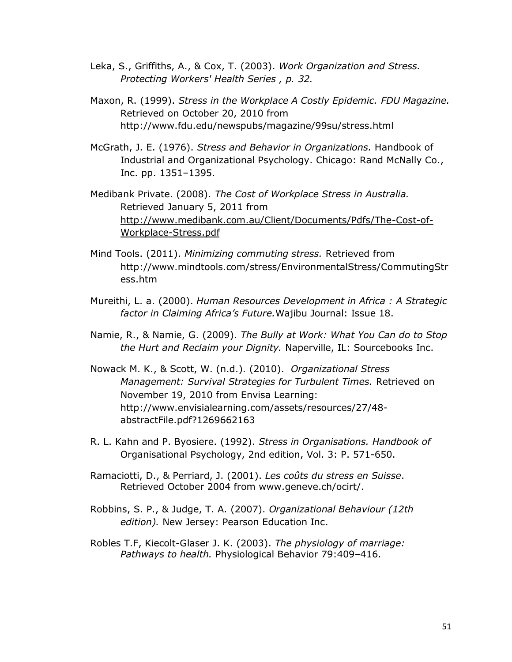- Leka, S., Griffiths, A., & Cox, T. (2003). *Work Organization and Stress. Protecting Workers' Health Series , p. 32.*
- Maxon, R. (1999). *Stress in the Workplace A Costly Epidemic. FDU Magazine.* Retrieved on October 20, 2010 from <http://www.fdu.edu/newspubs/magazine/99su/stress.html>
- McGrath, J. E. (1976). *Stress and Behavior in Organizations.* Handbook of Industrial and Organizational Psychology. Chicago: Rand McNally Co., Inc. pp. 1351–1395.
- Medibank Private. (2008). *The Cost of Workplace Stress in Australia.* Retrieved January 5, 2011 from [http://www.medibank.com.au/Client/Documents/Pdfs/The-Cost-of-](http://www.medibank.com.au/Client/Documents/Pdfs/The-Cost-of-Workplace-Stress.pdf)[Workplace-Stress.pdf](http://www.medibank.com.au/Client/Documents/Pdfs/The-Cost-of-Workplace-Stress.pdf)
- Mind Tools. (2011). *Minimizing commuting stress.* Retrieved from [http://www.mindtools.com/stress/EnvironmentalStress/CommutingStr](http://www.mindtools.com/stress/EnvironmentalStress/CommutingStress.htm) [ess.htm](http://www.mindtools.com/stress/EnvironmentalStress/CommutingStress.htm)
- Mureithi, L. a. (2000). *Human Resources Development in Africa : A Strategic factor in Claiming Africa's Future.*Wajibu Journal: Issue 18.
- Namie, R., & Namie, G. (2009). *The Bully at Work: What You Can do to Stop the Hurt and Reclaim your Dignity.* Naperville, IL: Sourcebooks Inc.
- Nowack M. K., & Scott, W. (n.d.). (2010). *Organizational Stress Management: Survival Strategies for Turbulent Times.* Retrieved on November 19, 2010 from Envisa Learning: [http://www.envisialearning.com/assets/resources/27/48](http://www.envisialearning.com/assets/resources/27/48-abstractFile.pdf?1269662163) [abstractFile.pdf?1269662163](http://www.envisialearning.com/assets/resources/27/48-abstractFile.pdf?1269662163)
- R. L. Kahn and P. Byosiere. (1992). *Stress in Organisations. Handbook of*  Organisational Psychology, 2nd edition, Vol. 3: P. 571-650.
- Ramaciotti, D., & Perriard, J. (2001). *Les coûts du stress en Suisse*. Retrieved October 2004 from www.geneve.ch/ocirt/.
- Robbins, S. P., & Judge, T. A. (2007). *Organizational Behaviour (12th edition).* New Jersey: Pearson Education Inc.
- Robles T.F, Kiecolt-Glaser J. K. (2003). *The physiology of marriage: Pathways to health.* Physiological Behavior 79:409–416.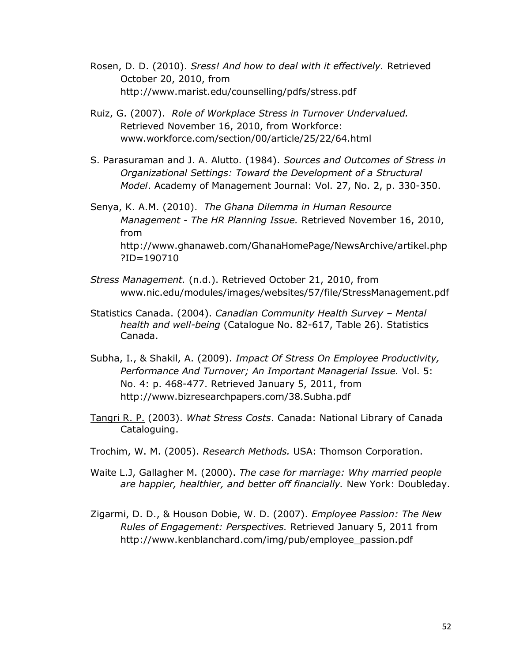- Rosen, D. D. (2010). *Sress! And how to deal with it effectively.* Retrieved October 20, 2010, from http://www.marist.edu/counselling/pdfs/stress.pdf
- Ruiz, G. (2007). *Role of Workplace Stress in Turnover Undervalued.* Retrieved November 16, 2010, from Workforce: www.workforce.com/section/00/article/25/22/64.html
- S. Parasuraman and J. A. Alutto. (1984). *Sources and Outcomes of Stress in Organizational Settings: Toward the Development of a Structural Model*. Academy of Management Journal: Vol. 27, No. 2, p. 330-350.
- Senya, K. A.M. (2010). *The Ghana Dilemma in Human Resource Management - The HR Planning Issue.* Retrieved November 16, 2010, from [http://www.ghanaweb.com/GhanaHomePage/NewsArchive/artikel.php](http://www.ghanaweb.com/GhanaHomePage/NewsArchive/artikel.php?ID=190710) [?ID=190710](http://www.ghanaweb.com/GhanaHomePage/NewsArchive/artikel.php?ID=190710)
- *Stress Management.* (n.d.). Retrieved October 21, 2010, from www.nic.edu/modules/images/websites/57/file/StressManagement.pdf
- Statistics Canada. (2004). *Canadian Community Health Survey – Mental health and well-being* (Catalogue No. 82-617, Table 26). Statistics Canada.
- Subha, I., & Shakil, A. (2009). *Impact Of Stress On Employee Productivity, Performance And Turnover; An Important Managerial Issue.* Vol. 5: No. 4: p. 468-477. Retrieved January 5, 2011, from <http://www.bizresearchpapers.com/38.Subha.pdf>
- Tangri R. P. (2003). *What Stress Costs*. Canada: National Library of Canada Cataloguing.
- Trochim, W. M. (2005). *Research Methods.* USA: Thomson Corporation.
- Waite L.J, Gallagher M. (2000). *The case for marriage: Why married people are happier, healthier, and better off financially.* New York: Doubleday.
- Zigarmi, D. D., & Houson Dobie, W. D. (2007). *Employee Passion: The New Rules of Engagement: Perspectives.* Retrieved January 5, 2011 from [http://www.kenblanchard.com/img/pub/employee\\_passion.pdf](http://www.kenblanchard.com/img/pub/employee_passion.pdf)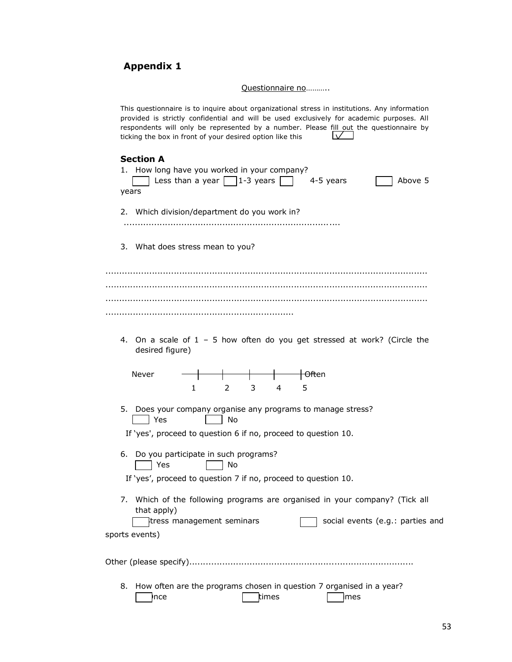# **Appendix 1**

Questionnaire no..........

| This questionnaire is to inquire about organizational stress in institutions. Any information<br>provided is strictly confidential and will be used exclusively for academic purposes. All<br>respondents will only be represented by a number. Please fill out the questionnaire by<br>ticking the box in front of your desired option like this |
|---------------------------------------------------------------------------------------------------------------------------------------------------------------------------------------------------------------------------------------------------------------------------------------------------------------------------------------------------|
| <b>Section A</b><br>1.<br>How long have you worked in your company?<br>Less than a year $\lceil \cdot \rceil$ 1-3 years<br>Above 5<br>4-5 years<br>years                                                                                                                                                                                          |
| 2. Which division/department do you work in?                                                                                                                                                                                                                                                                                                      |
| 3. What does stress mean to you?                                                                                                                                                                                                                                                                                                                  |
|                                                                                                                                                                                                                                                                                                                                                   |
| 4. On a scale of $1 - 5$ how often do you get stressed at work? (Circle the<br>desired figure)                                                                                                                                                                                                                                                    |
| Never<br><del>⊦Oft</del> en<br>3<br>5<br>1.<br>2<br>4                                                                                                                                                                                                                                                                                             |
| 5.<br>Does your company organise any programs to manage stress?<br>Yes<br>No<br>If 'yes', proceed to question 6 if no, proceed to question 10.                                                                                                                                                                                                    |
| Do you participate in such programs?<br>6.<br>Yes<br>No<br>If 'yes', proceed to question 7 if no, proceed to question 10.                                                                                                                                                                                                                         |
| Which of the following programs are organised in your company? (Tick all<br>7.<br>that apply)<br>tress management seminars<br>social events (e.g.: parties and<br>sports events)                                                                                                                                                                  |
|                                                                                                                                                                                                                                                                                                                                                   |
| How often are the programs chosen in question 7 organised in a year?<br>8.<br>times<br>nce<br>imes                                                                                                                                                                                                                                                |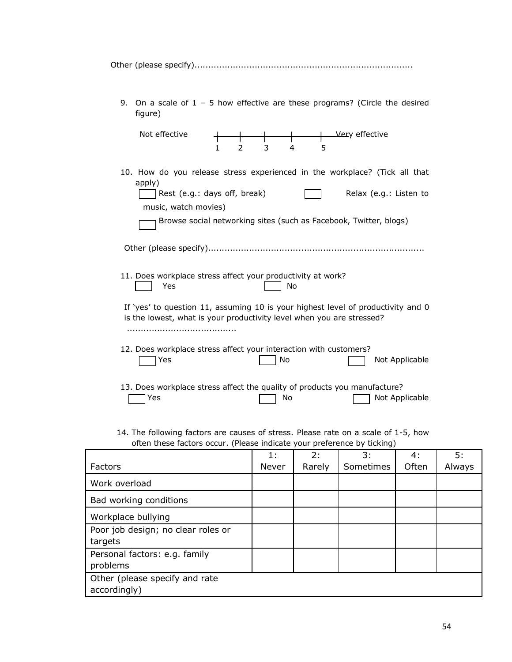9. On a scale of 1 – 5 how effective are these programs? (Circle the desired figure)

| Not effective<br>1                                                                                                                                        | 3<br>$\mathcal{P}$ | 5<br>4 | Very effective                                                                              |
|-----------------------------------------------------------------------------------------------------------------------------------------------------------|--------------------|--------|---------------------------------------------------------------------------------------------|
| 10. How do you release stress experienced in the workplace? (Tick all that<br>apply)<br>Rest (e.g.: days off, break)<br>music, watch movies)              |                    |        | Relax (e.g.: Listen to<br>Browse social networking sites (such as Facebook, Twitter, blogs) |
| 11. Does workplace stress affect your productivity at work?<br>Yes                                                                                        |                    | No     |                                                                                             |
| If 'yes' to question 11, assuming 10 is your highest level of productivity and 0<br>is the lowest, what is your productivity level when you are stressed? |                    |        |                                                                                             |
| 12. Does workplace stress affect your interaction with customers?<br>Yes                                                                                  |                    | No     | Not Applicable                                                                              |
| 13. Does workplace stress affect the quality of products you manufacture?<br>Yes                                                                          |                    | No     | Not Applicable                                                                              |

14. The following factors are causes of stress. Please rate on a scale of 1-5, how often these factors occur. (Please indicate your preference by ticking)

|                                    | 1:    | 2:     | 3:        | 4:    | 5:     |
|------------------------------------|-------|--------|-----------|-------|--------|
| <b>Factors</b>                     | Never | Rarely | Sometimes | Often | Always |
| Work overload                      |       |        |           |       |        |
| Bad working conditions             |       |        |           |       |        |
| Workplace bullying                 |       |        |           |       |        |
| Poor job design; no clear roles or |       |        |           |       |        |
| targets                            |       |        |           |       |        |
| Personal factors: e.g. family      |       |        |           |       |        |
| problems                           |       |        |           |       |        |
| Other (please specify and rate     |       |        |           |       |        |
| accordingly)                       |       |        |           |       |        |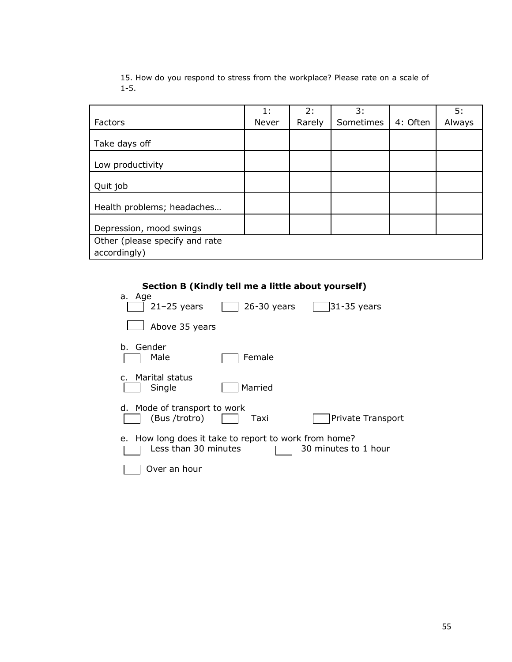|                                | 1:    | 2:     | 3:        |          | 5:     |
|--------------------------------|-------|--------|-----------|----------|--------|
| Factors                        | Never | Rarely | Sometimes | 4: Often | Always |
| Take days off                  |       |        |           |          |        |
| Low productivity               |       |        |           |          |        |
| Quit job                       |       |        |           |          |        |
| Health problems; headaches     |       |        |           |          |        |
| Depression, mood swings        |       |        |           |          |        |
| Other (please specify and rate |       |        |           |          |        |
| accordingly)                   |       |        |           |          |        |

15. How do you respond to stress from the workplace? Please rate on a scale of 1-5.

### **Section B (Kindly tell me a little about yourself)**

| a. Age                                                                        |               |                      |
|-------------------------------------------------------------------------------|---------------|----------------------|
| $21-25$ years                                                                 | $26-30$ years | 31-35 years          |
| Above 35 years                                                                |               |                      |
| Gender<br>b.<br>Male                                                          | Female        |                      |
| Marital status<br>$\mathsf{C}$ .<br>Single                                    | Married       |                      |
| d. Mode of transport to work<br>(Bus/trotro)                                  | Taxi          | Private Transport    |
| e. How long does it take to report to work from home?<br>Less than 30 minutes |               | 30 minutes to 1 hour |
| Over an hour                                                                  |               |                      |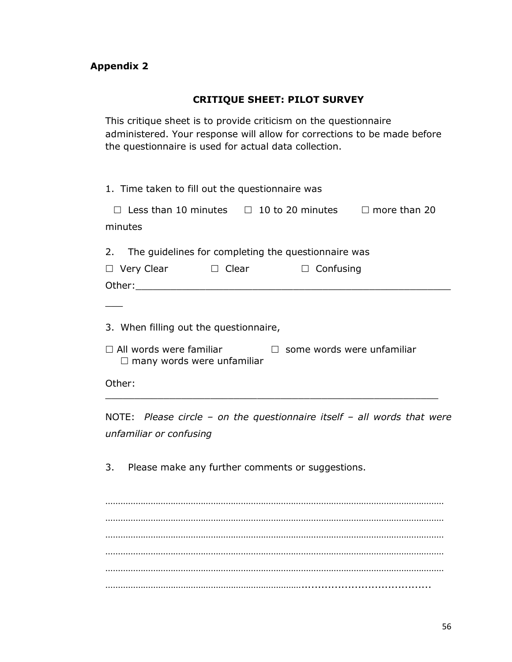## **CRITIQUE SHEET: PILOT SURVEY**

This critique sheet is to provide criticism on the questionnaire administered. Your response will allow for corrections to be made before the questionnaire is used for actual data collection.

| 1. Time taken to fill out the questionnaire was                                                                                                    |
|----------------------------------------------------------------------------------------------------------------------------------------------------|
| $\Box$ Less than 10 minutes $\Box$ 10 to 20 minutes $\Box$ more than 20<br>minutes                                                                 |
| 2. The guidelines for completing the questionnaire was<br>$\Box$ Clear<br>$\Box$ Very Clear<br>$\Box$ Confusing                                    |
| 3. When filling out the questionnaire,<br>$\Box$ some words were unfamiliar<br>$\Box$ All words were familiar<br>$\Box$ many words were unfamiliar |
| Other:                                                                                                                                             |
| NOTE: Please circle - on the questionnaire itself - all words that were<br>unfamiliar or confusing                                                 |
| 3. Please make any further comments or suggestions.                                                                                                |
|                                                                                                                                                    |
|                                                                                                                                                    |

………………………………………………………………………………………………………………………

………………………………………………………………………………………………………………………

…………………………………………………………………….......................................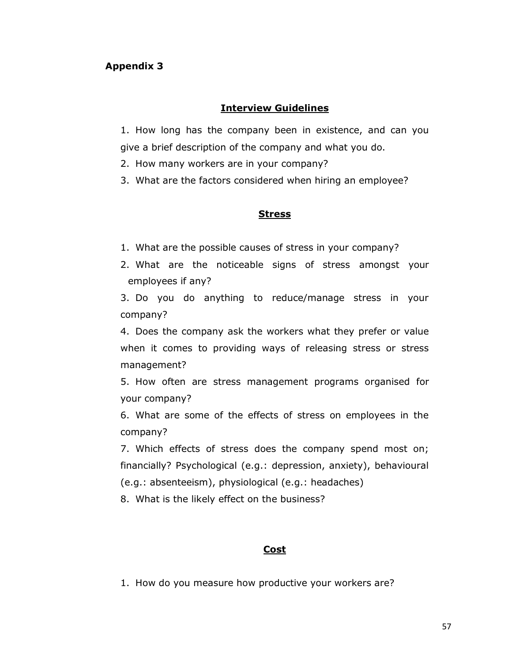## **Interview Guidelines**

1. How long has the company been in existence, and can you give a brief description of the company and what you do.

2. How many workers are in your company?

3. What are the factors considered when hiring an employee?

## **Stress**

- 1. What are the possible causes of stress in your company?
- 2. What are the noticeable signs of stress amongst your employees if any?

3. Do you do anything to reduce/manage stress in your company?

4. Does the company ask the workers what they prefer or value when it comes to providing ways of releasing stress or stress management?

5. How often are stress management programs organised for your company?

6. What are some of the effects of stress on employees in the company?

7. Which effects of stress does the company spend most on; financially? Psychological (e.g.: depression, anxiety), behavioural (e.g.: absenteeism), physiological (e.g.: headaches)

8. What is the likely effect on the business?

## **Cost**

1. How do you measure how productive your workers are?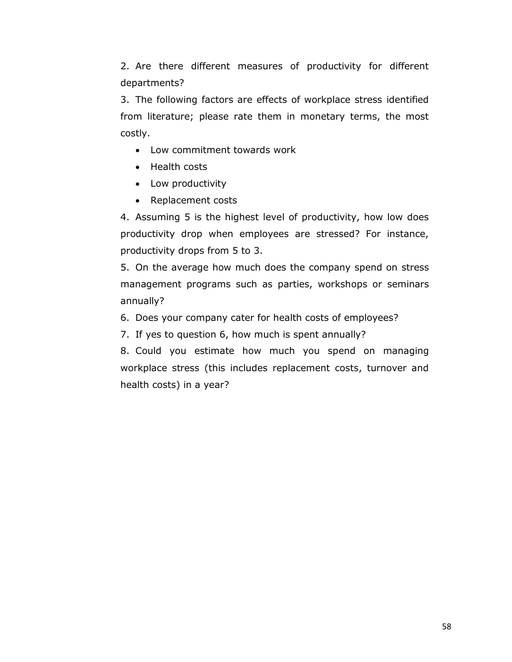2. Are there different measures of productivity for different departments?

3. The following factors are effects of workplace stress identified from literature; please rate them in monetary terms, the most costly.

- Low commitment towards work
- Health costs
- Low productivity
- Replacement costs

4. Assuming 5 is the highest level of productivity, how low does productivity drop when employees are stressed? For instance, productivity drops from 5 to 3.

5. On the average how much does the company spend on stress management programs such as parties, workshops or seminars annually?

- 6. Does your company cater for health costs of employees?
- 7. If yes to question 6, how much is spent annually?

8. Could you estimate how much you spend on managing workplace stress (this includes replacement costs, turnover and health costs) in a year?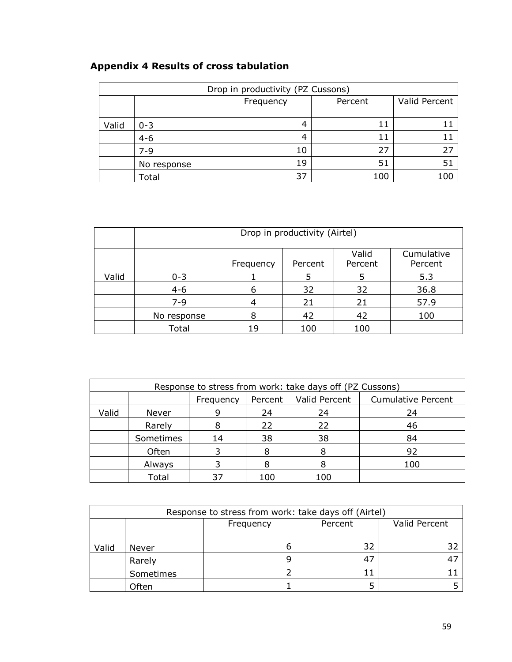# **Appendix 4 Results of cross tabulation**

| Drop in productivity (PZ Cussons) |             |           |         |               |  |  |  |  |
|-----------------------------------|-------------|-----------|---------|---------------|--|--|--|--|
|                                   |             | Frequency | Percent | Valid Percent |  |  |  |  |
|                                   |             |           |         |               |  |  |  |  |
| Valid                             | $0 - 3$     |           | 11      |               |  |  |  |  |
|                                   | $4 - 6$     |           | 11      |               |  |  |  |  |
|                                   | 7-9         | 10        | 27      |               |  |  |  |  |
|                                   | No response | 19        | 51      |               |  |  |  |  |
|                                   | Total       | 37        | 100     | 1 O.C         |  |  |  |  |

|       | Drop in productivity (Airtel)                                     |    |     |     |      |  |  |  |  |  |
|-------|-------------------------------------------------------------------|----|-----|-----|------|--|--|--|--|--|
|       | Valid<br>Cumulative<br>Percent<br>Percent<br>Percent<br>Frequency |    |     |     |      |  |  |  |  |  |
| Valid | $0 - 3$                                                           |    | 5   | 5   | 5.3  |  |  |  |  |  |
|       | $4 - 6$                                                           | 6  | 32  | 32  | 36.8 |  |  |  |  |  |
|       | $7 - 9$                                                           | 4  | 21  | 21  | 57.9 |  |  |  |  |  |
|       | No response                                                       | 8  | 42  | 42  | 100  |  |  |  |  |  |
|       | Total                                                             | 19 | 100 | 100 |      |  |  |  |  |  |

| Response to stress from work: take days off (PZ Cussons) |           |           |         |               |                           |  |  |  |  |
|----------------------------------------------------------|-----------|-----------|---------|---------------|---------------------------|--|--|--|--|
|                                                          |           | Frequency | Percent | Valid Percent | <b>Cumulative Percent</b> |  |  |  |  |
| Valid                                                    | Never     |           | 24      | 24            | 24                        |  |  |  |  |
|                                                          | Rarely    |           | 22      | 22            | 46                        |  |  |  |  |
|                                                          | Sometimes | 14        | 38      | 38            | 84                        |  |  |  |  |
|                                                          | Often     |           |         |               | 92                        |  |  |  |  |
|                                                          | Always    |           |         | 8             | 100                       |  |  |  |  |
|                                                          | Total     |           | 100     | 100           |                           |  |  |  |  |

| Response to stress from work: take days off (Airtel) |           |           |         |               |  |  |  |  |  |
|------------------------------------------------------|-----------|-----------|---------|---------------|--|--|--|--|--|
|                                                      |           | Frequency | Percent | Valid Percent |  |  |  |  |  |
|                                                      |           |           |         |               |  |  |  |  |  |
| Valid                                                | Never     | ь         | 32      |               |  |  |  |  |  |
|                                                      | Rarely    | g         | 47      |               |  |  |  |  |  |
|                                                      | Sometimes |           | 11      |               |  |  |  |  |  |
|                                                      | Often     |           |         |               |  |  |  |  |  |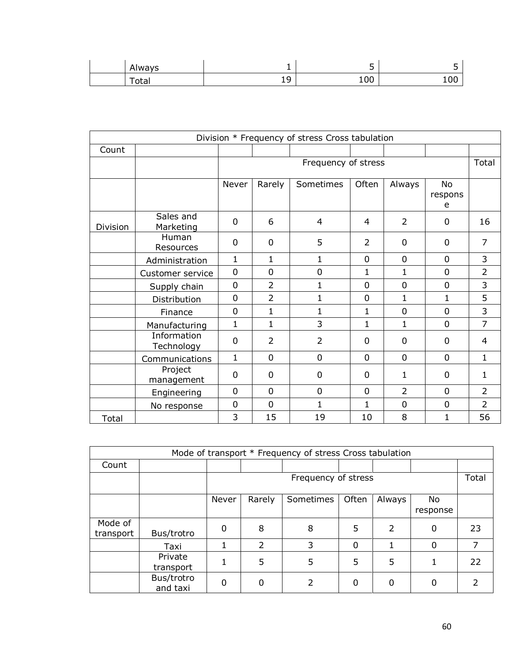| Always      | - | ້             |     |
|-------------|---|---------------|-----|
| $\tau$ otar | ᅩ | $\cap$<br>TOO | 100 |

| Division * Frequency of stress Cross tabulation |                           |                  |                |                     |                |                |                           |                |  |
|-------------------------------------------------|---------------------------|------------------|----------------|---------------------|----------------|----------------|---------------------------|----------------|--|
| Count                                           |                           |                  |                |                     |                |                |                           |                |  |
|                                                 |                           |                  |                | Frequency of stress |                |                |                           | Total          |  |
|                                                 |                           | Never            | Rarely         | Sometimes           | Often          | Always         | <b>No</b><br>respons<br>e |                |  |
| Division                                        | Sales and<br>Marketing    | $\Omega$         | 6              | 4                   | $\overline{4}$ | $\overline{2}$ | $\Omega$                  | 16             |  |
|                                                 | Human<br>Resources        | $\overline{0}$   | $\overline{0}$ | 5                   | $\overline{2}$ | $\Omega$       | 0                         | 7              |  |
|                                                 | Administration            | 1                | 1              | 1                   | $\overline{0}$ | 0              | 0                         | 3              |  |
|                                                 | Customer service          | $\overline{0}$   | $\overline{0}$ | $\mathbf 0$         | $\mathbf{1}$   | $\mathbf{1}$   | $\Omega$                  | $\overline{2}$ |  |
|                                                 | Supply chain              | $\overline{0}$   | $\overline{2}$ | 1                   | $\overline{0}$ | 0              | $\overline{0}$            | 3              |  |
|                                                 | Distribution              | 0                | $\overline{2}$ | $\mathbf 1$         | $\overline{0}$ | $\mathbf{1}$   | 1                         | 5              |  |
|                                                 | Finance                   | $\overline{0}$   | $\mathbf{1}$   | $\mathbf 1$         | 1              | $\overline{0}$ | $\overline{0}$            | 3              |  |
|                                                 | Manufacturing             | $\mathbf{1}$     | 1              | 3                   | $\mathbf{1}$   | 1              | $\mathbf{0}$              | $\overline{7}$ |  |
|                                                 | Information<br>Technology | $\mathbf 0$      | $\overline{2}$ | $\overline{2}$      | $\mathbf 0$    | 0              | 0                         | 4              |  |
|                                                 | Communications            | $\mathbf 1$      | $\overline{0}$ | 0                   | $\overline{0}$ | $\mathbf 0$    | $\mathbf 0$               | $\mathbf{1}$   |  |
|                                                 | Project<br>management     | 0                | $\overline{0}$ | 0                   | $\Omega$       | $\mathbf{1}$   | $\Omega$                  | 1              |  |
|                                                 | Engineering               | 0                | $\overline{0}$ | 0                   | $\Omega$       | $\overline{2}$ | $\Omega$                  | $\overline{2}$ |  |
|                                                 | No response               | $\boldsymbol{0}$ | $\mathbf 0$    | $\mathbf 1$         | $\mathbf{1}$   | $\mathbf 0$    | $\mathbf 0$               | $\overline{2}$ |  |
| Total                                           |                           | 3                | 15             | 19                  | 10             | 8              | 1                         | 56             |  |

| Mode of transport * Frequency of stress Cross tabulation |                        |          |                     |           |       |                |                |    |  |
|----------------------------------------------------------|------------------------|----------|---------------------|-----------|-------|----------------|----------------|----|--|
| Count                                                    |                        |          |                     |           |       |                |                |    |  |
|                                                          |                        |          | Frequency of stress |           |       |                |                |    |  |
|                                                          |                        | Never    | Rarely              | Sometimes | Often | Always         | No<br>response |    |  |
| Mode of<br>transport                                     | Bus/trotro             | $\Omega$ | 8                   | 8         | 5     | $\overline{2}$ | $\Omega$       | 23 |  |
|                                                          | Taxi                   |          | $\mathcal{P}$       | 3         | 0     |                | $\Omega$       |    |  |
|                                                          | Private<br>transport   |          | 5                   | 5         | 5     | 5              |                | 22 |  |
|                                                          | Bus/trotro<br>and taxi | $\Omega$ |                     |           | 0     | $\Omega$       | 0              |    |  |